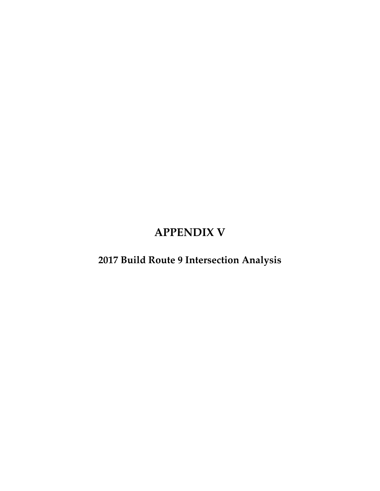### **APPENDIX V**

### **2017 Build Route 9 Intersection Analysis**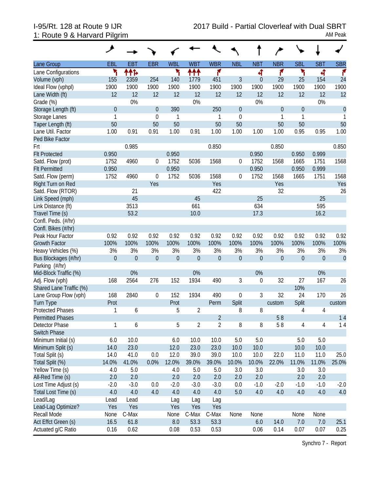|                         | ↗                |             |                |              |                |                |                  |                  |                  |                  |                  |              |
|-------------------------|------------------|-------------|----------------|--------------|----------------|----------------|------------------|------------------|------------------|------------------|------------------|--------------|
| Lane Group              | EBL              | <b>EBT</b>  | <b>EBR</b>     | <b>WBL</b>   | <b>WBT</b>     | <b>WBR</b>     | <b>NBL</b>       | <b>NBT</b>       | <b>NBR</b>       | <b>SBL</b>       | <b>SBT</b>       | <b>SBR</b>   |
| Lane Configurations     | ۲                | ተተኈ         |                | ۲            | ተተተ            | ۴              |                  | 4                | ۴                | ۲                | ची               | ۴            |
| Volume (vph)            | 155              | 2359        | 254            | 140          | 1779           | 451            | 3                | $\theta$         | 29               | 25               | 154              | 24           |
| Ideal Flow (vphpl)      | 1900             | 1900        | 1900           | 1900         | 1900           | 1900           | 1900             | 1900             | 1900             | 1900             | 1900             | 1900         |
| Lane Width (ft)         | 12               | 12          | 12             | 12           | 12             | 12             | 12               | 12               | 12               | 12               | 12               | 12           |
| Grade (%)               |                  | 0%          |                |              | 0%             |                |                  | 0%               |                  |                  | 0%               |              |
| Storage Length (ft)     | $\theta$         |             | $\overline{0}$ | 390          |                | 250            | $\mathbf 0$      |                  | $\theta$         | $\boldsymbol{0}$ |                  | $\mathbf{0}$ |
| Storage Lanes           | $\mathbf{1}$     |             | $\theta$       | $\mathbf{1}$ |                | 1              | $\mathbf 0$      |                  | $\mathbf{1}$     | 1                |                  | $\mathbf{1}$ |
| Taper Length (ft)       | 50               |             | 50             | 50           |                | 50             | 50               |                  | 50               | 50               |                  | 50           |
| Lane Util. Factor       | 1.00             | 0.91        | 0.91           | 1.00         | 0.91           | 1.00           | 1.00             | 1.00             | 1.00             | 0.95             | 0.95             | 1.00         |
| Ped Bike Factor         |                  |             |                |              |                |                |                  |                  |                  |                  |                  |              |
| Frt                     |                  | 0.985       |                |              |                | 0.850          |                  |                  | 0.850            |                  |                  | 0.850        |
| <b>Flt Protected</b>    | 0.950            |             |                | 0.950        |                |                |                  | 0.950            |                  | 0.950            | 0.999            |              |
| Satd. Flow (prot)       | 1752             | 4960        | $\overline{0}$ | 1752         | 5036           | 1568           | 0                | 1752             | 1568             | 1665             | 1751             | 1568         |
| <b>Flt Permitted</b>    | 0.950            |             |                | 0.950        |                |                |                  | 0.950            |                  | 0.950            | 0.999            |              |
| Satd. Flow (perm)       | 1752             | 4960        | $\theta$       | 1752         | 5036           | 1568           | 0                | 1752             | 1568             | 1665             | 1751             | 1568         |
| Right Turn on Red       |                  |             | Yes            |              |                | Yes            |                  |                  | Yes              |                  |                  | Yes          |
| Satd. Flow (RTOR)       |                  | 21          |                |              |                | 422            |                  |                  | 32               |                  |                  | 26           |
| Link Speed (mph)        |                  | 45          |                |              | 45             |                |                  | 25               |                  |                  | 25               |              |
| Link Distance (ft)      |                  | 3513        |                |              | 661            |                |                  | 634              |                  |                  | 595              |              |
| Travel Time (s)         |                  | 53.2        |                |              | 10.0           |                |                  | 17.3             |                  |                  | 16.2             |              |
| Confl. Peds. (#/hr)     |                  |             |                |              |                |                |                  |                  |                  |                  |                  |              |
| Confl. Bikes (#/hr)     |                  |             |                |              |                |                |                  |                  |                  |                  |                  |              |
| Peak Hour Factor        | 0.92             | 0.92        | 0.92           | 0.92         | 0.92           | 0.92           | 0.92             | 0.92             | 0.92             | 0.92             | 0.92             | 0.92         |
| <b>Growth Factor</b>    | 100%             | 100%        | 100%           | 100%         | 100%           | 100%           | 100%             | 100%             | 100%             | 100%             | 100%             | 100%         |
| Heavy Vehicles (%)      | 3%               | 3%          | 3%             | 3%           | 3%             | 3%             | 3%               | 3%               | 3%               | 3%               | 3%               | 3%           |
| Bus Blockages (#/hr)    | $\boldsymbol{0}$ | $\mathbf 0$ | $\mathbf 0$    | $\mathbf 0$  | $\mathbf 0$    | $\theta$       | $\boldsymbol{0}$ | $\boldsymbol{0}$ | $\boldsymbol{0}$ | $\boldsymbol{0}$ | $\boldsymbol{0}$ | $\mathbf 0$  |
| Parking (#/hr)          |                  |             |                |              |                |                |                  |                  |                  |                  |                  |              |
| Mid-Block Traffic (%)   |                  | 0%          |                |              | 0%             |                |                  | 0%               |                  |                  | 0%               |              |
| Adj. Flow (vph)         | 168              | 2564        | 276            | 152          | 1934           | 490            | 3                | $\boldsymbol{0}$ | 32               | 27               | 167              | 26           |
| Shared Lane Traffic (%) |                  |             |                |              |                |                |                  |                  |                  | 10%              |                  |              |
| Lane Group Flow (vph)   | 168              | 2840        | $\theta$       | 152          | 1934           | 490            | 0                | 3                | 32               | 24               | 170              | 26           |
| <b>Turn Type</b>        | Prot             |             |                | Prot         |                | Perm           | Split            |                  | custom           | Split            |                  | custom       |
| <b>Protected Phases</b> | 1                | 6           |                | 5            | $\overline{2}$ |                | 8                | 8                |                  | 4                | 4                |              |
| <b>Permitted Phases</b> |                  |             |                |              |                | $\overline{2}$ |                  |                  | 58               |                  |                  | 14           |
| Detector Phase          | 1                | 6           |                | 5            | $\overline{2}$ | 2              | 8                | 8                | 58               | 4                | 4                | 14           |
| <b>Switch Phase</b>     |                  |             |                |              |                |                |                  |                  |                  |                  |                  |              |
| Minimum Initial (s)     | 6.0              | 10.0        |                | 6.0          | 10.0           | 10.0           | 5.0              | 5.0              |                  | 5.0              | 5.0              |              |
| Minimum Split (s)       | 14.0             | 23.0        |                | 12.0         | 23.0           | 23.0           | 10.0             | 10.0             |                  | 10.0             | 10.0             |              |
| Total Split (s)         | 14.0             | 41.0        | 0.0            | 12.0         | 39.0           | 39.0           | 10.0             | 10.0             | 22.0             | 11.0             | 11.0             | 25.0         |
| Total Split (%)         | 14.0%            | 41.0%       | 0.0%           | 12.0%        | 39.0%          | 39.0%          | 10.0%            | 10.0%            | 22.0%            | 11.0%            | 11.0%            | 25.0%        |
| Yellow Time (s)         | 4.0              | 5.0         |                | 4.0          | 5.0            | 5.0            | 3.0              | 3.0              |                  | 3.0              | 3.0              |              |
| All-Red Time (s)        | 2.0              | 2.0         |                | 2.0          | 2.0            | 2.0            | 2.0              | 2.0              |                  | 2.0              | 2.0              |              |
| Lost Time Adjust (s)    | $-2.0$           | $-3.0$      | 0.0            | $-2.0$       | $-3.0$         | $-3.0$         | 0.0              | $-1.0$           | $-2.0$           | $-1.0$           | $-1.0$           | $-2.0$       |
| Total Lost Time (s)     | 4.0              | 4.0         | 4.0            | 4.0          | 4.0            | 4.0            | 5.0              | 4.0              | 4.0              | 4.0              | 4.0              | 4.0          |
| Lead/Lag                | Lead             | Lead        |                | Lag          | Lag            | Lag            |                  |                  |                  |                  |                  |              |
| Lead-Lag Optimize?      | Yes              | Yes         |                | Yes          | Yes            | Yes            |                  |                  |                  |                  |                  |              |
| Recall Mode             | None             | C-Max       |                | None         | C-Max          | C-Max          | None             | None             |                  | None             | None             |              |
| Act Effct Green (s)     | 16.5             | 61.8        |                | 8.0          | 53.3           | 53.3           |                  | 6.0              | 14.0             | 7.0              | 7.0              | 25.1         |
| Actuated g/C Ratio      | 0.16             | 0.62        |                | 0.08         | 0.53           | 0.53           |                  | 0.06             | 0.14             | 0.07             | 0.07             | 0.25         |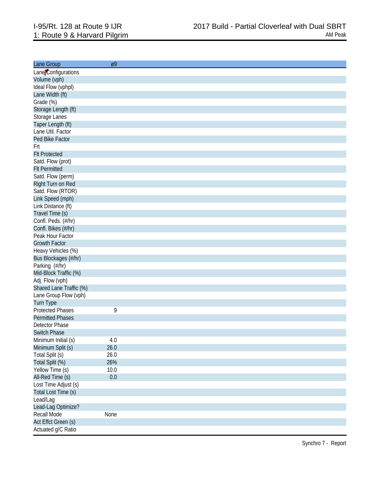| Lane Group                           | Ø9   |
|--------------------------------------|------|
| Lane Configurations                  |      |
| Volume (vph)                         |      |
| Ideal Flow (vphpl)                   |      |
| Lane Width (ft)                      |      |
| Grade (%)                            |      |
| Storage Length (ft)                  |      |
| Storage Lanes                        |      |
| Taper Length (ft)                    |      |
| Lane Util. Factor                    |      |
| Ped Bike Factor                      |      |
| Frt                                  |      |
| <b>FIt Protected</b>                 |      |
| Satd. Flow (prot)                    |      |
| <b>Flt Permitted</b>                 |      |
| Satd. Flow (perm)                    |      |
| Right Turn on Red                    |      |
| Satd. Flow (RTOR)                    |      |
| Link Speed (mph)                     |      |
| Link Distance (ft)                   |      |
| Travel Time (s)                      |      |
| Confl. Peds. (#/hr)                  |      |
| Confl. Bikes (#/hr)                  |      |
| Peak Hour Factor                     |      |
| <b>Growth Factor</b>                 |      |
| Heavy Vehicles (%)                   |      |
| Bus Blockages (#/hr)                 |      |
| Parking (#/hr)                       |      |
| Mid-Block Traffic (%)                |      |
| Adj. Flow (vph)                      |      |
| Shared Lane Traffic (%)              |      |
| Lane Group Flow (vph)                |      |
|                                      |      |
| Turn Type<br><b>Protected Phases</b> | 9    |
| <b>Permitted Phases</b>              |      |
| Detector Phase                       |      |
| <b>Switch Phase</b>                  |      |
| Minimum Initial (s)                  |      |
|                                      | 4.0  |
| Minimum Split (s)                    | 26.0 |
| Total Split (s)                      | 26.0 |
| Total Split (%)                      | 26%  |
| Yellow Time (s)                      | 10.0 |
| All-Red Time (s)                     | 0.0  |
| Lost Time Adjust (s)                 |      |
| Total Lost Time (s)                  |      |
| Lead/Lag                             |      |
| Lead-Lag Optimize?                   |      |
| Recall Mode                          | None |
| Act Effct Green (s)                  |      |
| Actuated g/C Ratio                   |      |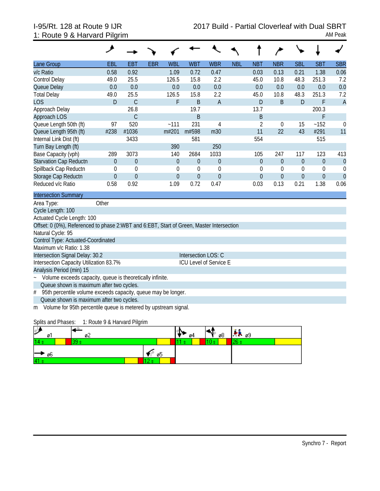| Lane Group                                                                               | EBL          | <b>EBT</b>       | <b>EBR</b> | <b>WBL</b>  | <b>WBT</b>                    | <b>WBR</b>     | <b>NBL</b> | <b>NBT</b>     | <b>NBR</b>       | <b>SBL</b>       | <b>SBT</b>       | <b>SBR</b>     |
|------------------------------------------------------------------------------------------|--------------|------------------|------------|-------------|-------------------------------|----------------|------------|----------------|------------------|------------------|------------------|----------------|
| v/c Ratio                                                                                | 0.58         | 0.92             |            | 1.09        | 0.72                          | 0.47           |            | 0.03           | 0.13             | 0.21             | 1.38             | 0.06           |
| <b>Control Delay</b>                                                                     | 49.0         | 25.5             |            | 126.5       | 15.8                          | 2.2            |            | 45.0           | 10.8             | 48.3             | 251.3            | 7.2            |
| Queue Delay                                                                              | 0.0          | 0.0              |            | 0.0         | 0.0                           | 0.0            |            | 0.0            | 0.0              | 0.0              | 0.0              | 0.0            |
| <b>Total Delay</b>                                                                       | 49.0         | 25.5             |            | 126.5       | 15.8                          | 2.2            |            | 45.0           | 10.8             | 48.3             | 251.3            | 7.2            |
| <b>LOS</b>                                                                               | D            | $\mathsf C$      |            | F           | B                             | $\overline{A}$ |            | $\mathsf{D}$   | $\sf B$          | D                | F                | $\overline{A}$ |
| Approach Delay                                                                           |              | 26.8             |            |             | 19.7                          |                |            | 13.7           |                  |                  | 200.3            |                |
| Approach LOS                                                                             |              | C                |            |             | B                             |                |            | B              |                  |                  | F                |                |
| Queue Length 50th (ft)                                                                   | 97           | 520              |            | $-111$      | 231                           | 4              |            | $\overline{2}$ | $\boldsymbol{0}$ | 15               | ~152             | $\mathbf 0$    |
| Queue Length 95th (ft)                                                                   | #238         | #1036            |            | m#201       | m#598                         | m30            |            | 11             | 22               | 43               | #291             | 11             |
| Internal Link Dist (ft)                                                                  |              | 3433             |            |             | 581                           |                |            | 554            |                  |                  | 515              |                |
| Turn Bay Length (ft)                                                                     |              |                  |            | 390         |                               | 250            |            |                |                  |                  |                  |                |
| Base Capacity (vph)                                                                      | 289          | 3073             |            | 140         | 2684                          | 1033           |            | 105            | 247              | 117              | 123              | 413            |
| <b>Starvation Cap Reductn</b>                                                            | $\Omega$     | $\boldsymbol{0}$ |            | $\theta$    | $\Omega$                      | $\theta$       |            | $\theta$       | $\Omega$         | $\theta$         | $\mathbf{0}$     | $\theta$       |
| Spillback Cap Reductn                                                                    | $\theta$     | $\mathbf 0$      |            | $\mathbf 0$ | $\mathbf 0$                   | $\mathbf 0$    |            | $\mathbf 0$    | $\overline{0}$   | $\boldsymbol{0}$ | 0                | $\mathbf 0$    |
| Storage Cap Reductn                                                                      | $\mathbf{0}$ | $\theta$         |            | $\Omega$    | $\overline{0}$                | $\mathbf{0}$   |            | $\overline{0}$ | $\overline{0}$   | $\boldsymbol{0}$ | $\boldsymbol{0}$ | $\mathbf{0}$   |
| Reduced v/c Ratio                                                                        | 0.58         | 0.92             |            | 1.09        | 0.72                          | 0.47           |            | 0.03           | 0.13             | 0.21             | 1.38             | 0.06           |
| <b>Intersection Summary</b>                                                              |              |                  |            |             |                               |                |            |                |                  |                  |                  |                |
| Area Type:                                                                               | Other        |                  |            |             |                               |                |            |                |                  |                  |                  |                |
| Cycle Length: 100                                                                        |              |                  |            |             |                               |                |            |                |                  |                  |                  |                |
| Actuated Cycle Length: 100                                                               |              |                  |            |             |                               |                |            |                |                  |                  |                  |                |
| Offset: 0 (0%), Referenced to phase 2:WBT and 6:EBT, Start of Green, Master Intersection |              |                  |            |             |                               |                |            |                |                  |                  |                  |                |
| Natural Cycle: 95                                                                        |              |                  |            |             |                               |                |            |                |                  |                  |                  |                |
| Control Type: Actuated-Coordinated                                                       |              |                  |            |             |                               |                |            |                |                  |                  |                  |                |
| Maximum v/c Ratio: 1.38                                                                  |              |                  |            |             |                               |                |            |                |                  |                  |                  |                |
| Intersection Signal Delay: 30.2                                                          |              |                  |            |             | Intersection LOS: C           |                |            |                |                  |                  |                  |                |
| Intersection Capacity Utilization 83.7%                                                  |              |                  |            |             | <b>ICU Level of Service E</b> |                |            |                |                  |                  |                  |                |
| Analysis Period (min) 15                                                                 |              |                  |            |             |                               |                |            |                |                  |                  |                  |                |
| Volume exceeds capacity, queue is theoretically infinite.<br>$\tilde{\phantom{a}}$       |              |                  |            |             |                               |                |            |                |                  |                  |                  |                |
| Queue shown is maximum after two cycles.                                                 |              |                  |            |             |                               |                |            |                |                  |                  |                  |                |
| 95th percentile volume exceeds capacity, queue may be longer.<br>#                       |              |                  |            |             |                               |                |            |                |                  |                  |                  |                |

Queue shown is maximum after two cycles.

m Volume for 95th percentile queue is metered by upstream signal.

Splits and Phases: 1: Route 9 & Harvard Pilgrim

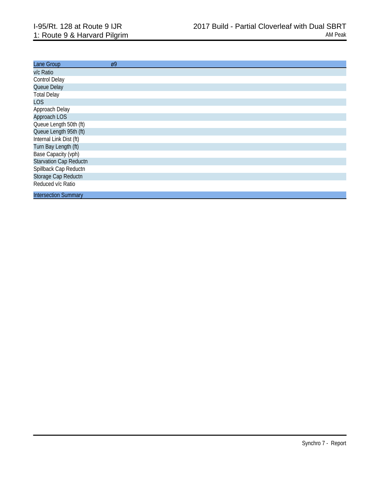| Lane Group                    | Ø9 |  |  |
|-------------------------------|----|--|--|
| v/c Ratio                     |    |  |  |
| <b>Control Delay</b>          |    |  |  |
| Queue Delay                   |    |  |  |
| <b>Total Delay</b>            |    |  |  |
| <b>LOS</b>                    |    |  |  |
| Approach Delay                |    |  |  |
| Approach LOS                  |    |  |  |
| Queue Length 50th (ft)        |    |  |  |
| Queue Length 95th (ft)        |    |  |  |
| Internal Link Dist (ft)       |    |  |  |
| Turn Bay Length (ft)          |    |  |  |
| Base Capacity (vph)           |    |  |  |
| <b>Starvation Cap Reductn</b> |    |  |  |
| Spillback Cap Reductn         |    |  |  |
| Storage Cap Reductn           |    |  |  |
| Reduced v/c Ratio             |    |  |  |
| <b>Intersection Summary</b>   |    |  |  |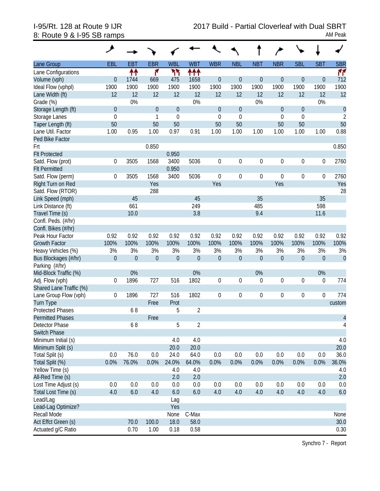| <b>EBR</b><br><b>WBL</b><br><b>WBR</b><br><b>NBT</b><br><b>NBR</b><br><b>SBL</b><br><b>SBT</b><br><b>SBR</b><br>Lane Group<br><b>EBL</b><br><b>EBT</b><br><b>WBT</b><br><b>NBL</b><br>۴<br>ካካ<br>ተተተ<br>11<br>ተተ<br>Lane Configurations<br>$\mathbf{0}$<br>$\boldsymbol{0}$<br>$\overline{0}$<br>$\mathbf 0$<br>712<br>Volume (vph)<br>$\overline{0}$<br>1744<br>669<br>475<br>1658<br>$\boldsymbol{0}$<br>0<br>1900<br>1900<br>1900<br>1900<br>1900<br>1900<br>1900<br>1900<br>1900<br>1900<br>1900<br>1900<br>Ideal Flow (vphpl)<br>12<br>12<br>12<br>12<br>12<br>12<br>12<br>12<br>12<br>12<br>12<br>Lane Width (ft)<br>12<br>0%<br>0%<br>0%<br>Grade (%)<br>0%<br>$\overline{0}$<br>$\mathbf{0}$<br>$\theta$<br>$\mathbf{0}$<br>$\mathbf 0$<br>$\mathbf{0}$<br>$\theta$<br>$\mathbf{0}$<br>Storage Length (ft)<br>$\mathbf 0$<br>$\mathbf{1}$<br>$\mathbf 0$<br>$\mathbf 0$<br>$\mathbf 0$<br>$\boldsymbol{0}$<br>$\overline{2}$<br>Storage Lanes<br>$\mathbf{0}$<br>50<br>50<br>50<br>50<br>50<br>50<br>50<br>50<br>Taper Length (ft)<br>0.97<br>0.88<br>Lane Util. Factor<br>1.00<br>0.95<br>1.00<br>0.91<br>1.00<br>1.00<br>1.00<br>1.00<br>1.00<br>1.00<br>Ped Bike Factor<br>0.850<br>Frt<br>0.850<br><b>Flt Protected</b><br>0.950<br>2760<br>3505<br>1568<br>3400<br>5036<br>$\mathbf 0$<br>$\boldsymbol{0}$<br>$\boldsymbol{0}$<br>$\boldsymbol{0}$<br>$\boldsymbol{0}$<br>$\boldsymbol{0}$<br>Satd. Flow (prot)<br>0<br>0.950<br><b>Flt Permitted</b><br>Satd. Flow (perm)<br>5036<br>$\mathbf 0$<br>$\boldsymbol{0}$<br>$\boldsymbol{0}$<br>$\boldsymbol{0}$<br>2760<br>0<br>3505<br>1568<br>3400<br>0<br>0<br>Yes<br>Yes<br>Yes<br>Right Turn on Red<br>Yes<br>Satd. Flow (RTOR)<br>288<br>28<br>35<br>45<br>45<br>35<br>Link Speed (mph)<br>661<br>249<br>485<br>598<br>Link Distance (ft)<br>3.8<br>10.0<br>9.4<br>Travel Time (s)<br>11.6<br>Confl. Peds. (#/hr)<br>Confl. Bikes (#/hr)<br>0.92<br>0.92<br>0.92<br>0.92<br>0.92<br>0.92<br>0.92<br>0.92<br>0.92<br>0.92<br>0.92<br>Peak Hour Factor<br>0.92<br>100%<br>100%<br>100%<br>100%<br>100%<br>100%<br>100%<br>100%<br>100%<br>100%<br>100%<br>100%<br><b>Growth Factor</b> |
|-------------------------------------------------------------------------------------------------------------------------------------------------------------------------------------------------------------------------------------------------------------------------------------------------------------------------------------------------------------------------------------------------------------------------------------------------------------------------------------------------------------------------------------------------------------------------------------------------------------------------------------------------------------------------------------------------------------------------------------------------------------------------------------------------------------------------------------------------------------------------------------------------------------------------------------------------------------------------------------------------------------------------------------------------------------------------------------------------------------------------------------------------------------------------------------------------------------------------------------------------------------------------------------------------------------------------------------------------------------------------------------------------------------------------------------------------------------------------------------------------------------------------------------------------------------------------------------------------------------------------------------------------------------------------------------------------------------------------------------------------------------------------------------------------------------------------------------------------------------------------------------------------------------------------------------------------------------------------------------------------------------------------------------------------------------------------------------------------------------------------------------------------------|
|                                                                                                                                                                                                                                                                                                                                                                                                                                                                                                                                                                                                                                                                                                                                                                                                                                                                                                                                                                                                                                                                                                                                                                                                                                                                                                                                                                                                                                                                                                                                                                                                                                                                                                                                                                                                                                                                                                                                                                                                                                                                                                                                                       |
|                                                                                                                                                                                                                                                                                                                                                                                                                                                                                                                                                                                                                                                                                                                                                                                                                                                                                                                                                                                                                                                                                                                                                                                                                                                                                                                                                                                                                                                                                                                                                                                                                                                                                                                                                                                                                                                                                                                                                                                                                                                                                                                                                       |
|                                                                                                                                                                                                                                                                                                                                                                                                                                                                                                                                                                                                                                                                                                                                                                                                                                                                                                                                                                                                                                                                                                                                                                                                                                                                                                                                                                                                                                                                                                                                                                                                                                                                                                                                                                                                                                                                                                                                                                                                                                                                                                                                                       |
|                                                                                                                                                                                                                                                                                                                                                                                                                                                                                                                                                                                                                                                                                                                                                                                                                                                                                                                                                                                                                                                                                                                                                                                                                                                                                                                                                                                                                                                                                                                                                                                                                                                                                                                                                                                                                                                                                                                                                                                                                                                                                                                                                       |
|                                                                                                                                                                                                                                                                                                                                                                                                                                                                                                                                                                                                                                                                                                                                                                                                                                                                                                                                                                                                                                                                                                                                                                                                                                                                                                                                                                                                                                                                                                                                                                                                                                                                                                                                                                                                                                                                                                                                                                                                                                                                                                                                                       |
|                                                                                                                                                                                                                                                                                                                                                                                                                                                                                                                                                                                                                                                                                                                                                                                                                                                                                                                                                                                                                                                                                                                                                                                                                                                                                                                                                                                                                                                                                                                                                                                                                                                                                                                                                                                                                                                                                                                                                                                                                                                                                                                                                       |
|                                                                                                                                                                                                                                                                                                                                                                                                                                                                                                                                                                                                                                                                                                                                                                                                                                                                                                                                                                                                                                                                                                                                                                                                                                                                                                                                                                                                                                                                                                                                                                                                                                                                                                                                                                                                                                                                                                                                                                                                                                                                                                                                                       |
|                                                                                                                                                                                                                                                                                                                                                                                                                                                                                                                                                                                                                                                                                                                                                                                                                                                                                                                                                                                                                                                                                                                                                                                                                                                                                                                                                                                                                                                                                                                                                                                                                                                                                                                                                                                                                                                                                                                                                                                                                                                                                                                                                       |
|                                                                                                                                                                                                                                                                                                                                                                                                                                                                                                                                                                                                                                                                                                                                                                                                                                                                                                                                                                                                                                                                                                                                                                                                                                                                                                                                                                                                                                                                                                                                                                                                                                                                                                                                                                                                                                                                                                                                                                                                                                                                                                                                                       |
|                                                                                                                                                                                                                                                                                                                                                                                                                                                                                                                                                                                                                                                                                                                                                                                                                                                                                                                                                                                                                                                                                                                                                                                                                                                                                                                                                                                                                                                                                                                                                                                                                                                                                                                                                                                                                                                                                                                                                                                                                                                                                                                                                       |
|                                                                                                                                                                                                                                                                                                                                                                                                                                                                                                                                                                                                                                                                                                                                                                                                                                                                                                                                                                                                                                                                                                                                                                                                                                                                                                                                                                                                                                                                                                                                                                                                                                                                                                                                                                                                                                                                                                                                                                                                                                                                                                                                                       |
|                                                                                                                                                                                                                                                                                                                                                                                                                                                                                                                                                                                                                                                                                                                                                                                                                                                                                                                                                                                                                                                                                                                                                                                                                                                                                                                                                                                                                                                                                                                                                                                                                                                                                                                                                                                                                                                                                                                                                                                                                                                                                                                                                       |
|                                                                                                                                                                                                                                                                                                                                                                                                                                                                                                                                                                                                                                                                                                                                                                                                                                                                                                                                                                                                                                                                                                                                                                                                                                                                                                                                                                                                                                                                                                                                                                                                                                                                                                                                                                                                                                                                                                                                                                                                                                                                                                                                                       |
|                                                                                                                                                                                                                                                                                                                                                                                                                                                                                                                                                                                                                                                                                                                                                                                                                                                                                                                                                                                                                                                                                                                                                                                                                                                                                                                                                                                                                                                                                                                                                                                                                                                                                                                                                                                                                                                                                                                                                                                                                                                                                                                                                       |
|                                                                                                                                                                                                                                                                                                                                                                                                                                                                                                                                                                                                                                                                                                                                                                                                                                                                                                                                                                                                                                                                                                                                                                                                                                                                                                                                                                                                                                                                                                                                                                                                                                                                                                                                                                                                                                                                                                                                                                                                                                                                                                                                                       |
|                                                                                                                                                                                                                                                                                                                                                                                                                                                                                                                                                                                                                                                                                                                                                                                                                                                                                                                                                                                                                                                                                                                                                                                                                                                                                                                                                                                                                                                                                                                                                                                                                                                                                                                                                                                                                                                                                                                                                                                                                                                                                                                                                       |
|                                                                                                                                                                                                                                                                                                                                                                                                                                                                                                                                                                                                                                                                                                                                                                                                                                                                                                                                                                                                                                                                                                                                                                                                                                                                                                                                                                                                                                                                                                                                                                                                                                                                                                                                                                                                                                                                                                                                                                                                                                                                                                                                                       |
|                                                                                                                                                                                                                                                                                                                                                                                                                                                                                                                                                                                                                                                                                                                                                                                                                                                                                                                                                                                                                                                                                                                                                                                                                                                                                                                                                                                                                                                                                                                                                                                                                                                                                                                                                                                                                                                                                                                                                                                                                                                                                                                                                       |
|                                                                                                                                                                                                                                                                                                                                                                                                                                                                                                                                                                                                                                                                                                                                                                                                                                                                                                                                                                                                                                                                                                                                                                                                                                                                                                                                                                                                                                                                                                                                                                                                                                                                                                                                                                                                                                                                                                                                                                                                                                                                                                                                                       |
|                                                                                                                                                                                                                                                                                                                                                                                                                                                                                                                                                                                                                                                                                                                                                                                                                                                                                                                                                                                                                                                                                                                                                                                                                                                                                                                                                                                                                                                                                                                                                                                                                                                                                                                                                                                                                                                                                                                                                                                                                                                                                                                                                       |
|                                                                                                                                                                                                                                                                                                                                                                                                                                                                                                                                                                                                                                                                                                                                                                                                                                                                                                                                                                                                                                                                                                                                                                                                                                                                                                                                                                                                                                                                                                                                                                                                                                                                                                                                                                                                                                                                                                                                                                                                                                                                                                                                                       |
|                                                                                                                                                                                                                                                                                                                                                                                                                                                                                                                                                                                                                                                                                                                                                                                                                                                                                                                                                                                                                                                                                                                                                                                                                                                                                                                                                                                                                                                                                                                                                                                                                                                                                                                                                                                                                                                                                                                                                                                                                                                                                                                                                       |
|                                                                                                                                                                                                                                                                                                                                                                                                                                                                                                                                                                                                                                                                                                                                                                                                                                                                                                                                                                                                                                                                                                                                                                                                                                                                                                                                                                                                                                                                                                                                                                                                                                                                                                                                                                                                                                                                                                                                                                                                                                                                                                                                                       |
|                                                                                                                                                                                                                                                                                                                                                                                                                                                                                                                                                                                                                                                                                                                                                                                                                                                                                                                                                                                                                                                                                                                                                                                                                                                                                                                                                                                                                                                                                                                                                                                                                                                                                                                                                                                                                                                                                                                                                                                                                                                                                                                                                       |
|                                                                                                                                                                                                                                                                                                                                                                                                                                                                                                                                                                                                                                                                                                                                                                                                                                                                                                                                                                                                                                                                                                                                                                                                                                                                                                                                                                                                                                                                                                                                                                                                                                                                                                                                                                                                                                                                                                                                                                                                                                                                                                                                                       |
| 3%<br>3%<br>3%<br>3%<br>3%<br>3%<br>3%<br>$3%$<br>3%<br>3%<br>3%<br>3%<br>Heavy Vehicles (%)                                                                                                                                                                                                                                                                                                                                                                                                                                                                                                                                                                                                                                                                                                                                                                                                                                                                                                                                                                                                                                                                                                                                                                                                                                                                                                                                                                                                                                                                                                                                                                                                                                                                                                                                                                                                                                                                                                                                                                                                                                                          |
| $\boldsymbol{0}$<br>$\mathbf 0$<br>$\boldsymbol{0}$<br>$\theta$<br>$\theta$<br>$\theta$<br>$\boldsymbol{0}$<br>$\mathbf 0$<br>$\boldsymbol{0}$<br>$\boldsymbol{0}$<br>$\boldsymbol{0}$<br>$\mathbf 0$<br>Bus Blockages (#/hr)                                                                                                                                                                                                                                                                                                                                                                                                                                                                                                                                                                                                                                                                                                                                                                                                                                                                                                                                                                                                                                                                                                                                                                                                                                                                                                                                                                                                                                                                                                                                                                                                                                                                                                                                                                                                                                                                                                                         |
| Parking (#/hr)                                                                                                                                                                                                                                                                                                                                                                                                                                                                                                                                                                                                                                                                                                                                                                                                                                                                                                                                                                                                                                                                                                                                                                                                                                                                                                                                                                                                                                                                                                                                                                                                                                                                                                                                                                                                                                                                                                                                                                                                                                                                                                                                        |
| 0%<br>0%<br>0%<br>0%<br>Mid-Block Traffic (%)                                                                                                                                                                                                                                                                                                                                                                                                                                                                                                                                                                                                                                                                                                                                                                                                                                                                                                                                                                                                                                                                                                                                                                                                                                                                                                                                                                                                                                                                                                                                                                                                                                                                                                                                                                                                                                                                                                                                                                                                                                                                                                         |
| 1896<br>727<br>1802<br>$\boldsymbol{0}$<br>0<br>$\boldsymbol{0}$<br>$\boldsymbol{0}$<br>$\boldsymbol{0}$<br>$\boldsymbol{0}$<br>774<br>Adj. Flow (vph)<br>0<br>516                                                                                                                                                                                                                                                                                                                                                                                                                                                                                                                                                                                                                                                                                                                                                                                                                                                                                                                                                                                                                                                                                                                                                                                                                                                                                                                                                                                                                                                                                                                                                                                                                                                                                                                                                                                                                                                                                                                                                                                    |
| Shared Lane Traffic (%)                                                                                                                                                                                                                                                                                                                                                                                                                                                                                                                                                                                                                                                                                                                                                                                                                                                                                                                                                                                                                                                                                                                                                                                                                                                                                                                                                                                                                                                                                                                                                                                                                                                                                                                                                                                                                                                                                                                                                                                                                                                                                                                               |
| $\boldsymbol{0}$<br>774<br>0<br>727<br>1802<br>$\mathbf 0$<br>$\boldsymbol{0}$<br>$\boldsymbol{0}$<br>Lane Group Flow (vph)<br>1896<br>516<br>0<br>$\boldsymbol{0}$                                                                                                                                                                                                                                                                                                                                                                                                                                                                                                                                                                                                                                                                                                                                                                                                                                                                                                                                                                                                                                                                                                                                                                                                                                                                                                                                                                                                                                                                                                                                                                                                                                                                                                                                                                                                                                                                                                                                                                                   |
| <b>Turn Type</b><br>Free<br>Prot<br>custom                                                                                                                                                                                                                                                                                                                                                                                                                                                                                                                                                                                                                                                                                                                                                                                                                                                                                                                                                                                                                                                                                                                                                                                                                                                                                                                                                                                                                                                                                                                                                                                                                                                                                                                                                                                                                                                                                                                                                                                                                                                                                                            |
| $\sqrt{2}$<br>5<br><b>Protected Phases</b><br>68                                                                                                                                                                                                                                                                                                                                                                                                                                                                                                                                                                                                                                                                                                                                                                                                                                                                                                                                                                                                                                                                                                                                                                                                                                                                                                                                                                                                                                                                                                                                                                                                                                                                                                                                                                                                                                                                                                                                                                                                                                                                                                      |
| <b>Permitted Phases</b><br>$\overline{\mathcal{L}}$<br>Free                                                                                                                                                                                                                                                                                                                                                                                                                                                                                                                                                                                                                                                                                                                                                                                                                                                                                                                                                                                                                                                                                                                                                                                                                                                                                                                                                                                                                                                                                                                                                                                                                                                                                                                                                                                                                                                                                                                                                                                                                                                                                           |
| Detector Phase<br>68<br>5<br>2<br>4                                                                                                                                                                                                                                                                                                                                                                                                                                                                                                                                                                                                                                                                                                                                                                                                                                                                                                                                                                                                                                                                                                                                                                                                                                                                                                                                                                                                                                                                                                                                                                                                                                                                                                                                                                                                                                                                                                                                                                                                                                                                                                                   |
| <b>Switch Phase</b>                                                                                                                                                                                                                                                                                                                                                                                                                                                                                                                                                                                                                                                                                                                                                                                                                                                                                                                                                                                                                                                                                                                                                                                                                                                                                                                                                                                                                                                                                                                                                                                                                                                                                                                                                                                                                                                                                                                                                                                                                                                                                                                                   |
| 4.0<br>4.0<br>Minimum Initial (s)<br>4.0                                                                                                                                                                                                                                                                                                                                                                                                                                                                                                                                                                                                                                                                                                                                                                                                                                                                                                                                                                                                                                                                                                                                                                                                                                                                                                                                                                                                                                                                                                                                                                                                                                                                                                                                                                                                                                                                                                                                                                                                                                                                                                              |
| 20.0<br>20.0<br>20.0<br>Minimum Split (s)                                                                                                                                                                                                                                                                                                                                                                                                                                                                                                                                                                                                                                                                                                                                                                                                                                                                                                                                                                                                                                                                                                                                                                                                                                                                                                                                                                                                                                                                                                                                                                                                                                                                                                                                                                                                                                                                                                                                                                                                                                                                                                             |
| 76.0<br>Total Split (s)<br>0.0<br>24.0<br>0.0<br>0.0<br>0.0<br>0.0<br>0.0<br>0.0<br>36.0<br>0.0<br>64.0                                                                                                                                                                                                                                                                                                                                                                                                                                                                                                                                                                                                                                                                                                                                                                                                                                                                                                                                                                                                                                                                                                                                                                                                                                                                                                                                                                                                                                                                                                                                                                                                                                                                                                                                                                                                                                                                                                                                                                                                                                               |
| 76.0%<br>0.0%<br>Total Split (%)<br>0.0%<br>24.0%<br>64.0%<br>0.0%<br>0.0%<br>0.0%<br>0.0%<br>0.0%<br>0.0%<br>36.0%                                                                                                                                                                                                                                                                                                                                                                                                                                                                                                                                                                                                                                                                                                                                                                                                                                                                                                                                                                                                                                                                                                                                                                                                                                                                                                                                                                                                                                                                                                                                                                                                                                                                                                                                                                                                                                                                                                                                                                                                                                   |
| Yellow Time (s)<br>4.0<br>4.0<br>4.0                                                                                                                                                                                                                                                                                                                                                                                                                                                                                                                                                                                                                                                                                                                                                                                                                                                                                                                                                                                                                                                                                                                                                                                                                                                                                                                                                                                                                                                                                                                                                                                                                                                                                                                                                                                                                                                                                                                                                                                                                                                                                                                  |
| All-Red Time (s)<br>2.0<br>2.0<br>2.0                                                                                                                                                                                                                                                                                                                                                                                                                                                                                                                                                                                                                                                                                                                                                                                                                                                                                                                                                                                                                                                                                                                                                                                                                                                                                                                                                                                                                                                                                                                                                                                                                                                                                                                                                                                                                                                                                                                                                                                                                                                                                                                 |
| Lost Time Adjust (s)<br>0.0<br>0.0<br>0.0<br>0.0<br>0.0<br>0.0<br>0.0<br>0.0<br>0.0<br>0.0<br>0.0<br>0.0                                                                                                                                                                                                                                                                                                                                                                                                                                                                                                                                                                                                                                                                                                                                                                                                                                                                                                                                                                                                                                                                                                                                                                                                                                                                                                                                                                                                                                                                                                                                                                                                                                                                                                                                                                                                                                                                                                                                                                                                                                              |
| Total Lost Time (s)<br>4.0<br>6.0<br>4.0<br>6.0<br>6.0<br>4.0<br>4.0<br>4.0<br>4.0<br>4.0<br>4.0<br>6.0                                                                                                                                                                                                                                                                                                                                                                                                                                                                                                                                                                                                                                                                                                                                                                                                                                                                                                                                                                                                                                                                                                                                                                                                                                                                                                                                                                                                                                                                                                                                                                                                                                                                                                                                                                                                                                                                                                                                                                                                                                               |
| Lead/Lag<br>Lag                                                                                                                                                                                                                                                                                                                                                                                                                                                                                                                                                                                                                                                                                                                                                                                                                                                                                                                                                                                                                                                                                                                                                                                                                                                                                                                                                                                                                                                                                                                                                                                                                                                                                                                                                                                                                                                                                                                                                                                                                                                                                                                                       |
| Lead-Lag Optimize?<br>Yes                                                                                                                                                                                                                                                                                                                                                                                                                                                                                                                                                                                                                                                                                                                                                                                                                                                                                                                                                                                                                                                                                                                                                                                                                                                                                                                                                                                                                                                                                                                                                                                                                                                                                                                                                                                                                                                                                                                                                                                                                                                                                                                             |
| Recall Mode<br>C-Max<br>None<br>None                                                                                                                                                                                                                                                                                                                                                                                                                                                                                                                                                                                                                                                                                                                                                                                                                                                                                                                                                                                                                                                                                                                                                                                                                                                                                                                                                                                                                                                                                                                                                                                                                                                                                                                                                                                                                                                                                                                                                                                                                                                                                                                  |
| 30.0<br>Act Effct Green (s)<br>70.0<br>100.0<br>18.0<br>58.0                                                                                                                                                                                                                                                                                                                                                                                                                                                                                                                                                                                                                                                                                                                                                                                                                                                                                                                                                                                                                                                                                                                                                                                                                                                                                                                                                                                                                                                                                                                                                                                                                                                                                                                                                                                                                                                                                                                                                                                                                                                                                          |
| Actuated g/C Ratio<br>0.70<br>0.58<br>1.00<br>0.18<br>0.30                                                                                                                                                                                                                                                                                                                                                                                                                                                                                                                                                                                                                                                                                                                                                                                                                                                                                                                                                                                                                                                                                                                                                                                                                                                                                                                                                                                                                                                                                                                                                                                                                                                                                                                                                                                                                                                                                                                                                                                                                                                                                            |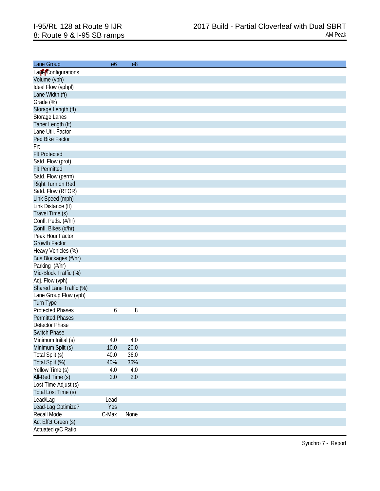| Lane Group              | Ø6    | Ø8      |
|-------------------------|-------|---------|
| Lare Configurations     |       |         |
| Volume (vph)            |       |         |
| Ideal Flow (vphpl)      |       |         |
| Lane Width (ft)         |       |         |
|                         |       |         |
| Grade (%)               |       |         |
| Storage Length (ft)     |       |         |
| Storage Lanes           |       |         |
| Taper Length (ft)       |       |         |
| Lane Util. Factor       |       |         |
| Ped Bike Factor         |       |         |
| Frt                     |       |         |
| <b>FIt Protected</b>    |       |         |
| Satd. Flow (prot)       |       |         |
| <b>Flt Permitted</b>    |       |         |
| Satd. Flow (perm)       |       |         |
| Right Turn on Red       |       |         |
| Satd. Flow (RTOR)       |       |         |
| Link Speed (mph)        |       |         |
| Link Distance (ft)      |       |         |
| Travel Time (s)         |       |         |
| Confl. Peds. (#/hr)     |       |         |
| Confl. Bikes (#/hr)     |       |         |
| Peak Hour Factor        |       |         |
| <b>Growth Factor</b>    |       |         |
| Heavy Vehicles (%)      |       |         |
|                         |       |         |
| Bus Blockages (#/hr)    |       |         |
| Parking (#/hr)          |       |         |
| Mid-Block Traffic (%)   |       |         |
| Adj. Flow (vph)         |       |         |
| Shared Lane Traffic (%) |       |         |
| Lane Group Flow (vph)   |       |         |
| Turn Type               |       |         |
| <b>Protected Phases</b> | 6     | 8       |
| <b>Permitted Phases</b> |       |         |
| Detector Phase          |       |         |
| <b>Switch Phase</b>     |       |         |
| Minimum Initial (s)     | 4.0   | 4.0     |
| Minimum Split (s)       | 10.0  | 20.0    |
| Total Split (s)         | 40.0  | 36.0    |
| Total Split (%)         | 40%   | 36%     |
| Yellow Time (s)         | 4.0   | 4.0     |
| All-Red Time (s)        | 2.0   | $2.0\,$ |
| Lost Time Adjust (s)    |       |         |
| Total Lost Time (s)     |       |         |
| Lead/Lag                | Lead  |         |
|                         |       |         |
| Lead-Lag Optimize?      | Yes   |         |
| Recall Mode             | C-Max | None    |
| Act Effct Green (s)     |       |         |
| Actuated g/C Ratio      |       |         |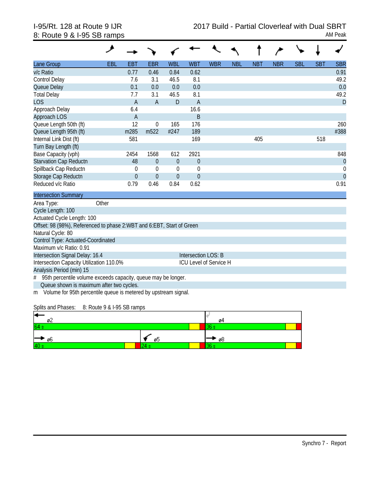| Lane Group                                                            | EBL   | <b>EBT</b>     | <b>EBR</b>       | <b>WBL</b>       | <b>WBT</b>             | <b>WBR</b> | <b>NBL</b> | <b>NBT</b> | <b>NBR</b> | <b>SBL</b> | <b>SBT</b> | <b>SBR</b>     |
|-----------------------------------------------------------------------|-------|----------------|------------------|------------------|------------------------|------------|------------|------------|------------|------------|------------|----------------|
| v/c Ratio                                                             |       | 0.77           | 0.46             | 0.84             | 0.62                   |            |            |            |            |            |            | 0.91           |
| Control Delay                                                         |       | 7.6            | 3.1              | 46.5             | 8.1                    |            |            |            |            |            |            | 49.2           |
| Queue Delay                                                           |       | 0.1            | 0.0              | 0.0              | 0.0                    |            |            |            |            |            |            | 0.0            |
| <b>Total Delay</b>                                                    |       | 7.7            | 3.1              | 46.5             | 8.1                    |            |            |            |            |            |            | 49.2           |
| <b>LOS</b>                                                            |       | $\overline{A}$ | $\overline{A}$   | D                | $\overline{A}$         |            |            |            |            |            |            | D              |
| Approach Delay                                                        |       | 6.4            |                  |                  | 16.6                   |            |            |            |            |            |            |                |
| Approach LOS                                                          |       | $\overline{A}$ |                  |                  | B                      |            |            |            |            |            |            |                |
| Queue Length 50th (ft)                                                |       | 12             | $\mathbf 0$      | 165              | 176                    |            |            |            |            |            |            | 260            |
| Queue Length 95th (ft)                                                |       | m285           | m <sub>522</sub> | #247             | 189                    |            |            |            |            |            |            | #388           |
| Internal Link Dist (ft)                                               |       | 581            |                  |                  | 169                    |            |            | 405        |            |            | 518        |                |
| Turn Bay Length (ft)                                                  |       |                |                  |                  |                        |            |            |            |            |            |            |                |
| Base Capacity (vph)                                                   |       | 2454           | 1568             | 612              | 2921                   |            |            |            |            |            |            | 848            |
| <b>Starvation Cap Reductn</b>                                         |       | 48             | $\theta$         | $\boldsymbol{0}$ | $\theta$               |            |            |            |            |            |            | $\overline{0}$ |
| Spillback Cap Reductn                                                 |       | 0              | $\mathbf 0$      | $\boldsymbol{0}$ | $\mathbf 0$            |            |            |            |            |            |            | $\theta$       |
| Storage Cap Reductn                                                   |       | $\theta$       | $\theta$         | $\theta$         | $\overline{0}$         |            |            |            |            |            |            | $\overline{0}$ |
| Reduced v/c Ratio                                                     |       | 0.79           | 0.46             | 0.84             | 0.62                   |            |            |            |            |            |            | 0.91           |
| <b>Intersection Summary</b>                                           |       |                |                  |                  |                        |            |            |            |            |            |            |                |
| Area Type:                                                            | Other |                |                  |                  |                        |            |            |            |            |            |            |                |
| Cycle Length: 100                                                     |       |                |                  |                  |                        |            |            |            |            |            |            |                |
| Actuated Cycle Length: 100                                            |       |                |                  |                  |                        |            |            |            |            |            |            |                |
| Offset: 98 (98%), Referenced to phase 2:WBT and 6:EBT, Start of Green |       |                |                  |                  |                        |            |            |            |            |            |            |                |
| Natural Cycle: 80                                                     |       |                |                  |                  |                        |            |            |            |            |            |            |                |
| Control Type: Actuated-Coordinated                                    |       |                |                  |                  |                        |            |            |            |            |            |            |                |
| Maximum v/c Ratio: 0.91                                               |       |                |                  |                  |                        |            |            |            |            |            |            |                |
| Intersection Signal Delay: 16.4                                       |       |                |                  |                  | Intersection LOS: B    |            |            |            |            |            |            |                |
| Intersection Capacity Utilization 110.0%                              |       |                |                  |                  | ICU Level of Service H |            |            |            |            |            |            |                |
| Analysis Period (min) 15                                              |       |                |                  |                  |                        |            |            |            |            |            |            |                |
| 95th percentile volume exceeds capacity, queue may be longer.<br>#    |       |                |                  |                  |                        |            |            |            |            |            |            |                |
| Queue shown is maximum after two cycles.                              |       |                |                  |                  |                        |            |            |            |            |            |            |                |
| m Volume for 95th percentile queue is metered by upstream signal.     |       |                |                  |                  |                        |            |            |            |            |            |            |                |

Splits and Phases: 8: Route 9 & I-95 SB ramps

| ╺<br>ø۷   |         | 04   |
|-----------|---------|------|
| 64 s      |         | --   |
| ー<br>► დ6 | -<br>ø5 | 8⊚ * |
| 40s       | -       |      |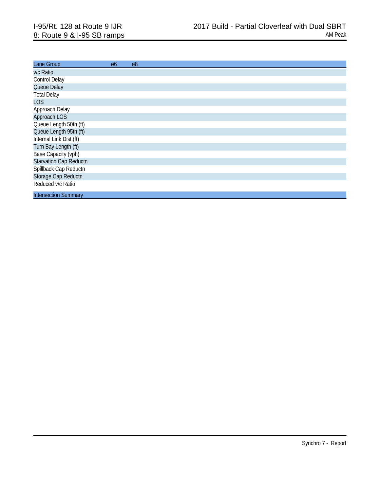| Lane Group                    | Ø6 | Ø8 |
|-------------------------------|----|----|
| v/c Ratio                     |    |    |
| <b>Control Delay</b>          |    |    |
| Queue Delay                   |    |    |
| <b>Total Delay</b>            |    |    |
| <b>LOS</b>                    |    |    |
| Approach Delay                |    |    |
| Approach LOS                  |    |    |
| Queue Length 50th (ft)        |    |    |
| Queue Length 95th (ft)        |    |    |
| Internal Link Dist (ft)       |    |    |
| Turn Bay Length (ft)          |    |    |
| Base Capacity (vph)           |    |    |
| <b>Starvation Cap Reductn</b> |    |    |
| Spillback Cap Reductn         |    |    |
| Storage Cap Reductn           |    |    |
| Reduced v/c Ratio             |    |    |
| <b>Intersection Summary</b>   |    |    |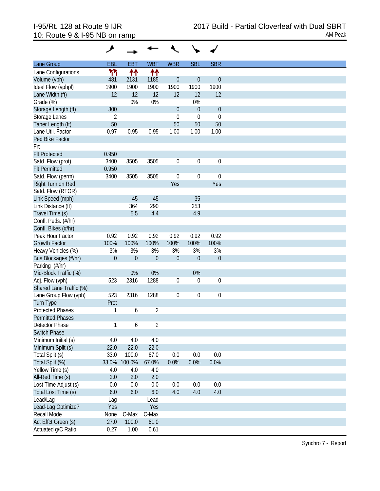| Lane Group              | <b>EBL</b>     | <b>EBT</b>       | <b>WBT</b>     | <b>WBR</b>       | <b>SBL</b>       | <b>SBR</b>        |
|-------------------------|----------------|------------------|----------------|------------------|------------------|-------------------|
| Lane Configurations     | ካካ             | ቶቶ               | ↟↟             |                  |                  |                   |
| Volume (vph)            | 481            | 2131             | 1185           | $\boldsymbol{0}$ | $\boldsymbol{0}$ | $\theta$          |
| Ideal Flow (vphpl)      | 1900           | 1900             | 1900           | 1900             | 1900             | 1900              |
| Lane Width (ft)         | 12             | 12               | 12             | 12               | 12               | 12                |
| Grade (%)               |                | 0%               | 0%             |                  | 0%               |                   |
| Storage Length (ft)     | 300            |                  |                | $\boldsymbol{0}$ | $\theta$         | $\boldsymbol{0}$  |
|                         |                |                  |                | $\mathbf 0$      |                  |                   |
| Storage Lanes           | $\overline{2}$ |                  |                |                  | $\mathbf 0$      | $\mathbf 0$<br>50 |
| Taper Length (ft)       | 50             |                  |                | 50               | 50               |                   |
| Lane Util. Factor       | 0.97           | 0.95             | 0.95           | 1.00             | 1.00             | 1.00              |
| Ped Bike Factor         |                |                  |                |                  |                  |                   |
| Frt                     |                |                  |                |                  |                  |                   |
| <b>Flt Protected</b>    | 0.950          |                  |                |                  |                  |                   |
| Satd. Flow (prot)       | 3400           | 3505             | 3505           | $\boldsymbol{0}$ | $\boldsymbol{0}$ | $\boldsymbol{0}$  |
| <b>Flt Permitted</b>    | 0.950          |                  |                |                  |                  |                   |
| Satd. Flow (perm)       | 3400           | 3505             | 3505           | $\boldsymbol{0}$ | $\boldsymbol{0}$ | $\mathbf 0$       |
| Right Turn on Red       |                |                  |                | Yes              |                  | Yes               |
| Satd. Flow (RTOR)       |                |                  |                |                  |                  |                   |
| Link Speed (mph)        |                | 45               | 45             |                  | 35               |                   |
| Link Distance (ft)      |                | 364              | 290            |                  | 253              |                   |
| Travel Time (s)         |                | 5.5              | 4.4            |                  | 4.9              |                   |
| Confl. Peds. (#/hr)     |                |                  |                |                  |                  |                   |
| Confl. Bikes (#/hr)     |                |                  |                |                  |                  |                   |
| Peak Hour Factor        | 0.92           | 0.92             | 0.92           | 0.92             | 0.92             | 0.92              |
| <b>Growth Factor</b>    | 100%           | 100%             | 100%           | 100%             | 100%             | 100%              |
| Heavy Vehicles (%)      | 3%             | 3%               | 3%             | 3%               | 3%               | 3%                |
| Bus Blockages (#/hr)    | $\theta$       | $\boldsymbol{0}$ | $\theta$       | $\boldsymbol{0}$ | $\overline{0}$   | $\boldsymbol{0}$  |
| Parking (#/hr)          |                |                  |                |                  |                  |                   |
|                         |                | 0%               |                |                  | 0%               |                   |
| Mid-Block Traffic (%)   |                |                  | 0%             |                  |                  |                   |
| Adj. Flow (vph)         | 523            | 2316             | 1288           | $\boldsymbol{0}$ | $\mathbf 0$      | $\boldsymbol{0}$  |
| Shared Lane Traffic (%) |                |                  |                |                  |                  |                   |
| Lane Group Flow (vph)   | 523            | 2316             | 1288           | $\boldsymbol{0}$ | $\boldsymbol{0}$ | $\boldsymbol{0}$  |
| <b>Turn Type</b>        | Prot           |                  |                |                  |                  |                   |
| <b>Protected Phases</b> | 1              | 6                | $\overline{2}$ |                  |                  |                   |
| <b>Permitted Phases</b> |                |                  |                |                  |                  |                   |
| Detector Phase          | 1              | 6                | $\overline{2}$ |                  |                  |                   |
| <b>Switch Phase</b>     |                |                  |                |                  |                  |                   |
| Minimum Initial (s)     | 4.0            | 4.0              | 4.0            |                  |                  |                   |
| Minimum Split (s)       | 22.0           | 22.0             | 22.0           |                  |                  |                   |
| Total Split (s)         | 33.0           | 100.0            | 67.0           | 0.0              | 0.0              | 0.0               |
| Total Split (%)         |                | 33.0% 100.0%     | 67.0%          | 0.0%             | 0.0%             | 0.0%              |
| Yellow Time (s)         | 4.0            | 4.0              | 4.0            |                  |                  |                   |
| All-Red Time (s)        | 2.0            | 2.0              | 2.0            |                  |                  |                   |
| Lost Time Adjust (s)    | 0.0            | 0.0              | $0.0\,$        | 0.0              | 0.0              | 0.0               |
|                         |                |                  |                |                  |                  |                   |
| Total Lost Time (s)     | 6.0            | 6.0              | $6.0\,$        | 4.0              | 4.0              | 4.0               |
| Lead/Lag                | Lag            |                  | Lead           |                  |                  |                   |
| Lead-Lag Optimize?      | Yes            |                  | Yes            |                  |                  |                   |
| Recall Mode             | None           | C-Max            | C-Max          |                  |                  |                   |
| Act Effct Green (s)     | 27.0           | 100.0            | 61.0           |                  |                  |                   |
| Actuated g/C Ratio      | 0.27           | 1.00             | 0.61           |                  |                  |                   |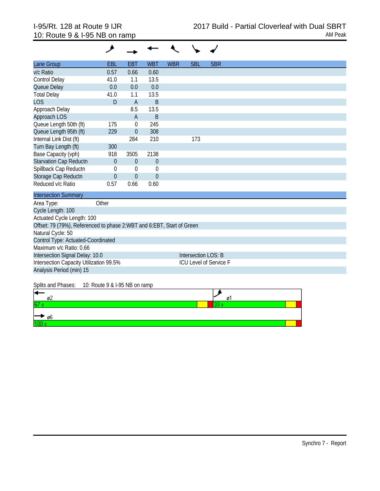| Lane Group                                                            | <b>EBL</b>     | <b>EBT</b>   | <b>WBT</b>     | <b>WBR</b> | <b>SBL</b>          | <b>SBR</b>                    |
|-----------------------------------------------------------------------|----------------|--------------|----------------|------------|---------------------|-------------------------------|
| v/c Ratio                                                             | 0.57           | 0.66         | 0.60           |            |                     |                               |
| <b>Control Delay</b>                                                  | 41.0           | 1.1          | 13.5           |            |                     |                               |
| Queue Delay                                                           | 0.0            | 0.0          | 0.0            |            |                     |                               |
| <b>Total Delay</b>                                                    | 41.0           | 1.1          | 13.5           |            |                     |                               |
| <b>LOS</b>                                                            | D              | A            | B              |            |                     |                               |
| Approach Delay                                                        |                | 8.5          | 13.5           |            |                     |                               |
| Approach LOS                                                          |                | A            | B              |            |                     |                               |
| Queue Length 50th (ft)                                                | 175            | $\mathbf 0$  | 245            |            |                     |                               |
| Queue Length 95th (ft)                                                | 229            | $\theta$     | 308            |            |                     |                               |
| Internal Link Dist (ft)                                               |                | 284          | 210            |            | 173                 |                               |
| Turn Bay Length (ft)                                                  | 300            |              |                |            |                     |                               |
| Base Capacity (vph)                                                   | 918            | 3505         | 2138           |            |                     |                               |
| <b>Starvation Cap Reductn</b>                                         | $\theta$       | $\theta$     | $\overline{0}$ |            |                     |                               |
| Spillback Cap Reductn                                                 | $\theta$       | $\mathbf 0$  | $\theta$       |            |                     |                               |
| Storage Cap Reductn                                                   | $\overline{0}$ | $\mathbf{0}$ | $\overline{0}$ |            |                     |                               |
| Reduced v/c Ratio                                                     | 0.57           | 0.66         | 0.60           |            |                     |                               |
| <b>Intersection Summary</b>                                           |                |              |                |            |                     |                               |
| Area Type:                                                            | Other          |              |                |            |                     |                               |
| Cycle Length: 100                                                     |                |              |                |            |                     |                               |
| Actuated Cycle Length: 100                                            |                |              |                |            |                     |                               |
| Offset: 79 (79%), Referenced to phase 2:WBT and 6:EBT, Start of Green |                |              |                |            |                     |                               |
| Natural Cycle: 50                                                     |                |              |                |            |                     |                               |
| Control Type: Actuated-Coordinated                                    |                |              |                |            |                     |                               |
| Maximum v/c Ratio: 0.66                                               |                |              |                |            |                     |                               |
| Intersection Signal Delay: 10.0                                       |                |              |                |            | Intersection LOS: B |                               |
| Intersection Capacity Utilization 99.5%                               |                |              |                |            |                     | <b>ICU Level of Service F</b> |
| Analysis Period (min) 15                                              |                |              |                |            |                     |                               |
|                                                                       |                |              |                |            |                     |                               |

Splits and Phases: 10: Route 9 & I-95 NB on ramp

| н<br>ø۷ | Ø |  |
|---------|---|--|
| 67      |   |  |
| ⊁ ø6    |   |  |
| linn    |   |  |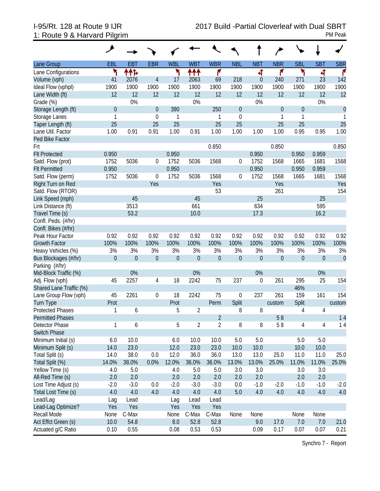# 1: Route 9 & Harvard Pilgrim PM Peak

| <b>SBL</b><br><b>EBR</b><br><b>WBL</b><br><b>WBT</b><br><b>WBR</b><br><b>NBT</b><br><b>NBR</b><br><b>SBT</b><br><b>SBR</b><br><b>EBL</b><br><b>EBT</b><br><b>NBL</b><br>Lane Group<br>۲<br>۳<br>ተተኈ<br>ተተተ<br>۴<br>۲<br>ৰ<br>۴<br>4<br>Lane Configurations<br>۴<br>$\overline{4}$<br>218<br>23<br>Volume (vph)<br>41<br>2076<br>17<br>2063<br>69<br>240<br>271<br>142<br>$\overline{0}$<br>1900<br>1900<br>1900<br>1900<br>1900<br>1900<br>1900<br>1900<br>1900<br>Ideal Flow (vphpl)<br>1900<br>1900<br>1900<br>12<br>12<br>12<br>12<br>12<br>12<br>12<br>12<br>12<br>12<br>12<br>12<br>Lane Width (ft)<br>0%<br>0%<br>0%<br>0%<br>Grade (%)<br>$\overline{0}$<br>390<br>250<br>$\mathbf{0}$<br>$\mathbf{0}$<br>Storage Length (ft)<br>$\theta$<br>$\mathbf 0$<br>$\boldsymbol{0}$<br>$\mathbf 0$<br>$\mathbf{1}$<br>$\mathbf{1}$<br>Storage Lanes<br>$\mathbf{1}$<br>$\mathbf 0$<br>1<br>1<br>1<br>25<br>25<br>25<br>25<br>25<br>25<br>25<br>25<br>Taper Length (ft)<br>Lane Util. Factor<br>1.00<br>0.91<br>0.91<br>1.00<br>0.91<br>1.00<br>1.00<br>0.95<br>1.00<br>1.00<br>0.95<br>1.00<br>Ped Bike Factor<br>0.850<br>0.850<br>0.850<br>Frt<br>0.950<br>0.950<br>0.950<br><b>Flt Protected</b><br>0.950<br>0.959<br>5036<br>1752<br>1568<br>1568<br>1568<br>Satd. Flow (prot)<br>1752<br>0<br>5036<br>$\mathbf 0$<br>1752<br>1681<br>1665<br>0.950<br>0.950<br>0.950<br>0.950<br>0.959<br><b>Flt Permitted</b><br>1752<br>5036<br>$\boldsymbol{0}$<br>1752<br>5036<br>1568<br>1568<br>1568<br>Satd. Flow (perm)<br>0<br>1752<br>1665<br>1681<br>Yes<br>Yes<br>Right Turn on Red<br>Yes<br>Yes<br>53<br>Satd. Flow (RTOR)<br>261<br>154<br>25<br>25<br>45<br>45<br>Link Speed (mph)<br>3513<br>595<br>Link Distance (ft)<br>661<br>634<br>53.2<br>17.3<br>10.0<br>16.2<br>Travel Time (s)<br>Confl. Peds. (#/hr)<br>Confl. Bikes (#/hr)<br>0.92<br>0.92<br>0.92<br>0.92<br>0.92<br>0.92<br>0.92<br>0.92<br>0.92<br>0.92<br>0.92<br>Peak Hour Factor<br>0.92<br>100%<br>100%<br>100%<br>100%<br>100%<br>100%<br>100%<br>100%<br>100%<br>100%<br>100%<br>100%<br><b>Growth Factor</b><br>3%<br>3%<br>3%<br>3%<br>3%<br>3%<br>3%<br>3%<br>3%<br>3%<br>3%<br>Heavy Vehicles (%)<br>3%<br>$\boldsymbol{0}$<br>$\mathbf 0$<br>$\mathbf{0}$<br>Bus Blockages (#/hr)<br>$\theta$<br>$\theta$<br>$\overline{0}$<br>$\theta$<br>$\overline{0}$<br>$\theta$<br>$\theta$<br>$\boldsymbol{0}$<br>$\mathbf{0}$<br>Parking (#/hr)<br>0%<br>0%<br>0%<br>0%<br>Mid-Block Traffic (%)<br>45<br>2257<br>18<br>2242<br>75<br>237<br>261<br>295<br>154<br>4<br>$\boldsymbol{0}$<br>25<br>Adj. Flow (vph)<br>46%<br>Shared Lane Traffic (%)<br>2261<br>237<br>45<br>18<br>2242<br>75<br>$\boldsymbol{0}$<br>261<br>159<br>161<br>154<br>$\boldsymbol{0}$<br>Lane Group Flow (vph)<br>Split<br><b>Turn Type</b><br>Prot<br>Prot<br>Split<br>Perm<br>custom<br>custom<br><b>Protected Phases</b><br>$\sqrt{2}$<br>8<br>$\sqrt{4}$<br>6<br>8<br>5<br>4<br>1<br>$\overline{2}$<br>14<br>58<br><b>Permitted Phases</b><br>$\overline{2}$<br>5<br>$\overline{2}$<br>8<br>8<br>58<br>$\overline{4}$<br>1<br>6<br>4<br>14<br>Detector Phase<br>Switch Phase<br>10.0<br>5.0<br>$5.0\,$<br>5.0<br>Minimum Initial (s)<br>6.0<br>6.0<br>10.0<br>10.0<br>5.0<br>23.0<br>Minimum Split (s)<br>14.0<br>12.0<br>23.0<br>23.0<br>10.0<br>10.0<br>10.0<br>10.0<br>25.0<br>$0.0\,$<br>25.0<br>Total Split (s)<br>38.0<br>12.0<br>13.0<br>14.0<br>36.0<br>36.0<br>13.0<br>11.0<br>11.0<br>Total Split (%)<br>0.0%<br>12.0%<br>36.0%<br>13.0%<br>25.0%<br>11.0%<br>14.0%<br>38.0%<br>36.0%<br>13.0%<br>11.0%<br>25.0%<br>Yellow Time (s)<br>3.0<br>4.0<br>5.0<br>4.0<br>5.0<br>5.0<br>3.0<br>3.0<br>3.0<br>2.0<br>2.0<br>2.0<br>2.0<br>All-Red Time (s)<br>2.0<br>2.0<br>2.0<br>2.0<br>2.0<br>$0.0\,$<br>$-2.0$<br>$-2.0$<br>Lost Time Adjust (s)<br>$-2.0$<br>$-1.0$<br>$-3.0$<br>$-2.0$<br>$-3.0$<br>$-3.0$<br>0.0<br>$-1.0$<br>$-1.0$<br>5.0<br>4.0<br>Total Lost Time (s)<br>4.0<br>4.0<br>4.0<br>4.0<br>4.0<br>4.0<br>4.0<br>4.0<br>4.0<br>4.0<br>Lead/Lag<br>Lead<br>Lead<br>Lag<br>Lag<br>Lead<br>Lead-Lag Optimize?<br>Yes<br>Yes<br>Yes<br>Yes<br>Yes<br>None<br>Recall Mode<br>C-Max<br>C-Max<br>None<br>None<br>None<br>C-Max<br>None<br>None<br>17.0<br>Act Effct Green (s)<br>10.0<br>54.8<br>8.0<br>52.8<br>52.8<br>9.0<br>7.0<br>21.0<br>7.0 |                    | فر   |      |      |      |      |      |      |      |      |      |
|-----------------------------------------------------------------------------------------------------------------------------------------------------------------------------------------------------------------------------------------------------------------------------------------------------------------------------------------------------------------------------------------------------------------------------------------------------------------------------------------------------------------------------------------------------------------------------------------------------------------------------------------------------------------------------------------------------------------------------------------------------------------------------------------------------------------------------------------------------------------------------------------------------------------------------------------------------------------------------------------------------------------------------------------------------------------------------------------------------------------------------------------------------------------------------------------------------------------------------------------------------------------------------------------------------------------------------------------------------------------------------------------------------------------------------------------------------------------------------------------------------------------------------------------------------------------------------------------------------------------------------------------------------------------------------------------------------------------------------------------------------------------------------------------------------------------------------------------------------------------------------------------------------------------------------------------------------------------------------------------------------------------------------------------------------------------------------------------------------------------------------------------------------------------------------------------------------------------------------------------------------------------------------------------------------------------------------------------------------------------------------------------------------------------------------------------------------------------------------------------------------------------------------------------------------------------------------------------------------------------------------------------------------------------------------------------------------------------------------------------------------------------------------------------------------------------------------------------------------------------------------------------------------------------------------------------------------------------------------------------------------------------------------------------------------------------------------------------------------------------------------------------------------------------------------------------------------------------------------------------------------------------------------------------------------------------------------------------------------------------------------------------------------------------------------------------------------------------------------------------------------------------------------------------------------------------------------------------------------------------------------------------------------------------------------------------------------------------------------------------------------------------------------------------------------------------------------------------------------------------------------------------------------------------------------------------------------------------------------------------------------------------------------------------------------------------------------------------------------------------------------------------------------------------------------------------------------------------------------------------------------------------------------------------------------------------------|--------------------|------|------|------|------|------|------|------|------|------|------|
|                                                                                                                                                                                                                                                                                                                                                                                                                                                                                                                                                                                                                                                                                                                                                                                                                                                                                                                                                                                                                                                                                                                                                                                                                                                                                                                                                                                                                                                                                                                                                                                                                                                                                                                                                                                                                                                                                                                                                                                                                                                                                                                                                                                                                                                                                                                                                                                                                                                                                                                                                                                                                                                                                                                                                                                                                                                                                                                                                                                                                                                                                                                                                                                                                                                                                                                                                                                                                                                                                                                                                                                                                                                                                                                                                                                                                                                                                                                                                                                                                                                                                                                                                                                                                                                                                                                       |                    |      |      |      |      |      |      |      |      |      |      |
|                                                                                                                                                                                                                                                                                                                                                                                                                                                                                                                                                                                                                                                                                                                                                                                                                                                                                                                                                                                                                                                                                                                                                                                                                                                                                                                                                                                                                                                                                                                                                                                                                                                                                                                                                                                                                                                                                                                                                                                                                                                                                                                                                                                                                                                                                                                                                                                                                                                                                                                                                                                                                                                                                                                                                                                                                                                                                                                                                                                                                                                                                                                                                                                                                                                                                                                                                                                                                                                                                                                                                                                                                                                                                                                                                                                                                                                                                                                                                                                                                                                                                                                                                                                                                                                                                                                       |                    |      |      |      |      |      |      |      |      |      |      |
|                                                                                                                                                                                                                                                                                                                                                                                                                                                                                                                                                                                                                                                                                                                                                                                                                                                                                                                                                                                                                                                                                                                                                                                                                                                                                                                                                                                                                                                                                                                                                                                                                                                                                                                                                                                                                                                                                                                                                                                                                                                                                                                                                                                                                                                                                                                                                                                                                                                                                                                                                                                                                                                                                                                                                                                                                                                                                                                                                                                                                                                                                                                                                                                                                                                                                                                                                                                                                                                                                                                                                                                                                                                                                                                                                                                                                                                                                                                                                                                                                                                                                                                                                                                                                                                                                                                       |                    |      |      |      |      |      |      |      |      |      |      |
|                                                                                                                                                                                                                                                                                                                                                                                                                                                                                                                                                                                                                                                                                                                                                                                                                                                                                                                                                                                                                                                                                                                                                                                                                                                                                                                                                                                                                                                                                                                                                                                                                                                                                                                                                                                                                                                                                                                                                                                                                                                                                                                                                                                                                                                                                                                                                                                                                                                                                                                                                                                                                                                                                                                                                                                                                                                                                                                                                                                                                                                                                                                                                                                                                                                                                                                                                                                                                                                                                                                                                                                                                                                                                                                                                                                                                                                                                                                                                                                                                                                                                                                                                                                                                                                                                                                       |                    |      |      |      |      |      |      |      |      |      |      |
|                                                                                                                                                                                                                                                                                                                                                                                                                                                                                                                                                                                                                                                                                                                                                                                                                                                                                                                                                                                                                                                                                                                                                                                                                                                                                                                                                                                                                                                                                                                                                                                                                                                                                                                                                                                                                                                                                                                                                                                                                                                                                                                                                                                                                                                                                                                                                                                                                                                                                                                                                                                                                                                                                                                                                                                                                                                                                                                                                                                                                                                                                                                                                                                                                                                                                                                                                                                                                                                                                                                                                                                                                                                                                                                                                                                                                                                                                                                                                                                                                                                                                                                                                                                                                                                                                                                       |                    |      |      |      |      |      |      |      |      |      |      |
|                                                                                                                                                                                                                                                                                                                                                                                                                                                                                                                                                                                                                                                                                                                                                                                                                                                                                                                                                                                                                                                                                                                                                                                                                                                                                                                                                                                                                                                                                                                                                                                                                                                                                                                                                                                                                                                                                                                                                                                                                                                                                                                                                                                                                                                                                                                                                                                                                                                                                                                                                                                                                                                                                                                                                                                                                                                                                                                                                                                                                                                                                                                                                                                                                                                                                                                                                                                                                                                                                                                                                                                                                                                                                                                                                                                                                                                                                                                                                                                                                                                                                                                                                                                                                                                                                                                       |                    |      |      |      |      |      |      |      |      |      |      |
|                                                                                                                                                                                                                                                                                                                                                                                                                                                                                                                                                                                                                                                                                                                                                                                                                                                                                                                                                                                                                                                                                                                                                                                                                                                                                                                                                                                                                                                                                                                                                                                                                                                                                                                                                                                                                                                                                                                                                                                                                                                                                                                                                                                                                                                                                                                                                                                                                                                                                                                                                                                                                                                                                                                                                                                                                                                                                                                                                                                                                                                                                                                                                                                                                                                                                                                                                                                                                                                                                                                                                                                                                                                                                                                                                                                                                                                                                                                                                                                                                                                                                                                                                                                                                                                                                                                       |                    |      |      |      |      |      |      |      |      |      |      |
|                                                                                                                                                                                                                                                                                                                                                                                                                                                                                                                                                                                                                                                                                                                                                                                                                                                                                                                                                                                                                                                                                                                                                                                                                                                                                                                                                                                                                                                                                                                                                                                                                                                                                                                                                                                                                                                                                                                                                                                                                                                                                                                                                                                                                                                                                                                                                                                                                                                                                                                                                                                                                                                                                                                                                                                                                                                                                                                                                                                                                                                                                                                                                                                                                                                                                                                                                                                                                                                                                                                                                                                                                                                                                                                                                                                                                                                                                                                                                                                                                                                                                                                                                                                                                                                                                                                       |                    |      |      |      |      |      |      |      |      |      |      |
|                                                                                                                                                                                                                                                                                                                                                                                                                                                                                                                                                                                                                                                                                                                                                                                                                                                                                                                                                                                                                                                                                                                                                                                                                                                                                                                                                                                                                                                                                                                                                                                                                                                                                                                                                                                                                                                                                                                                                                                                                                                                                                                                                                                                                                                                                                                                                                                                                                                                                                                                                                                                                                                                                                                                                                                                                                                                                                                                                                                                                                                                                                                                                                                                                                                                                                                                                                                                                                                                                                                                                                                                                                                                                                                                                                                                                                                                                                                                                                                                                                                                                                                                                                                                                                                                                                                       |                    |      |      |      |      |      |      |      |      |      |      |
|                                                                                                                                                                                                                                                                                                                                                                                                                                                                                                                                                                                                                                                                                                                                                                                                                                                                                                                                                                                                                                                                                                                                                                                                                                                                                                                                                                                                                                                                                                                                                                                                                                                                                                                                                                                                                                                                                                                                                                                                                                                                                                                                                                                                                                                                                                                                                                                                                                                                                                                                                                                                                                                                                                                                                                                                                                                                                                                                                                                                                                                                                                                                                                                                                                                                                                                                                                                                                                                                                                                                                                                                                                                                                                                                                                                                                                                                                                                                                                                                                                                                                                                                                                                                                                                                                                                       |                    |      |      |      |      |      |      |      |      |      |      |
|                                                                                                                                                                                                                                                                                                                                                                                                                                                                                                                                                                                                                                                                                                                                                                                                                                                                                                                                                                                                                                                                                                                                                                                                                                                                                                                                                                                                                                                                                                                                                                                                                                                                                                                                                                                                                                                                                                                                                                                                                                                                                                                                                                                                                                                                                                                                                                                                                                                                                                                                                                                                                                                                                                                                                                                                                                                                                                                                                                                                                                                                                                                                                                                                                                                                                                                                                                                                                                                                                                                                                                                                                                                                                                                                                                                                                                                                                                                                                                                                                                                                                                                                                                                                                                                                                                                       |                    |      |      |      |      |      |      |      |      |      |      |
|                                                                                                                                                                                                                                                                                                                                                                                                                                                                                                                                                                                                                                                                                                                                                                                                                                                                                                                                                                                                                                                                                                                                                                                                                                                                                                                                                                                                                                                                                                                                                                                                                                                                                                                                                                                                                                                                                                                                                                                                                                                                                                                                                                                                                                                                                                                                                                                                                                                                                                                                                                                                                                                                                                                                                                                                                                                                                                                                                                                                                                                                                                                                                                                                                                                                                                                                                                                                                                                                                                                                                                                                                                                                                                                                                                                                                                                                                                                                                                                                                                                                                                                                                                                                                                                                                                                       |                    |      |      |      |      |      |      |      |      |      |      |
|                                                                                                                                                                                                                                                                                                                                                                                                                                                                                                                                                                                                                                                                                                                                                                                                                                                                                                                                                                                                                                                                                                                                                                                                                                                                                                                                                                                                                                                                                                                                                                                                                                                                                                                                                                                                                                                                                                                                                                                                                                                                                                                                                                                                                                                                                                                                                                                                                                                                                                                                                                                                                                                                                                                                                                                                                                                                                                                                                                                                                                                                                                                                                                                                                                                                                                                                                                                                                                                                                                                                                                                                                                                                                                                                                                                                                                                                                                                                                                                                                                                                                                                                                                                                                                                                                                                       |                    |      |      |      |      |      |      |      |      |      |      |
|                                                                                                                                                                                                                                                                                                                                                                                                                                                                                                                                                                                                                                                                                                                                                                                                                                                                                                                                                                                                                                                                                                                                                                                                                                                                                                                                                                                                                                                                                                                                                                                                                                                                                                                                                                                                                                                                                                                                                                                                                                                                                                                                                                                                                                                                                                                                                                                                                                                                                                                                                                                                                                                                                                                                                                                                                                                                                                                                                                                                                                                                                                                                                                                                                                                                                                                                                                                                                                                                                                                                                                                                                                                                                                                                                                                                                                                                                                                                                                                                                                                                                                                                                                                                                                                                                                                       |                    |      |      |      |      |      |      |      |      |      |      |
|                                                                                                                                                                                                                                                                                                                                                                                                                                                                                                                                                                                                                                                                                                                                                                                                                                                                                                                                                                                                                                                                                                                                                                                                                                                                                                                                                                                                                                                                                                                                                                                                                                                                                                                                                                                                                                                                                                                                                                                                                                                                                                                                                                                                                                                                                                                                                                                                                                                                                                                                                                                                                                                                                                                                                                                                                                                                                                                                                                                                                                                                                                                                                                                                                                                                                                                                                                                                                                                                                                                                                                                                                                                                                                                                                                                                                                                                                                                                                                                                                                                                                                                                                                                                                                                                                                                       |                    |      |      |      |      |      |      |      |      |      |      |
|                                                                                                                                                                                                                                                                                                                                                                                                                                                                                                                                                                                                                                                                                                                                                                                                                                                                                                                                                                                                                                                                                                                                                                                                                                                                                                                                                                                                                                                                                                                                                                                                                                                                                                                                                                                                                                                                                                                                                                                                                                                                                                                                                                                                                                                                                                                                                                                                                                                                                                                                                                                                                                                                                                                                                                                                                                                                                                                                                                                                                                                                                                                                                                                                                                                                                                                                                                                                                                                                                                                                                                                                                                                                                                                                                                                                                                                                                                                                                                                                                                                                                                                                                                                                                                                                                                                       |                    |      |      |      |      |      |      |      |      |      |      |
|                                                                                                                                                                                                                                                                                                                                                                                                                                                                                                                                                                                                                                                                                                                                                                                                                                                                                                                                                                                                                                                                                                                                                                                                                                                                                                                                                                                                                                                                                                                                                                                                                                                                                                                                                                                                                                                                                                                                                                                                                                                                                                                                                                                                                                                                                                                                                                                                                                                                                                                                                                                                                                                                                                                                                                                                                                                                                                                                                                                                                                                                                                                                                                                                                                                                                                                                                                                                                                                                                                                                                                                                                                                                                                                                                                                                                                                                                                                                                                                                                                                                                                                                                                                                                                                                                                                       |                    |      |      |      |      |      |      |      |      |      |      |
|                                                                                                                                                                                                                                                                                                                                                                                                                                                                                                                                                                                                                                                                                                                                                                                                                                                                                                                                                                                                                                                                                                                                                                                                                                                                                                                                                                                                                                                                                                                                                                                                                                                                                                                                                                                                                                                                                                                                                                                                                                                                                                                                                                                                                                                                                                                                                                                                                                                                                                                                                                                                                                                                                                                                                                                                                                                                                                                                                                                                                                                                                                                                                                                                                                                                                                                                                                                                                                                                                                                                                                                                                                                                                                                                                                                                                                                                                                                                                                                                                                                                                                                                                                                                                                                                                                                       |                    |      |      |      |      |      |      |      |      |      |      |
|                                                                                                                                                                                                                                                                                                                                                                                                                                                                                                                                                                                                                                                                                                                                                                                                                                                                                                                                                                                                                                                                                                                                                                                                                                                                                                                                                                                                                                                                                                                                                                                                                                                                                                                                                                                                                                                                                                                                                                                                                                                                                                                                                                                                                                                                                                                                                                                                                                                                                                                                                                                                                                                                                                                                                                                                                                                                                                                                                                                                                                                                                                                                                                                                                                                                                                                                                                                                                                                                                                                                                                                                                                                                                                                                                                                                                                                                                                                                                                                                                                                                                                                                                                                                                                                                                                                       |                    |      |      |      |      |      |      |      |      |      |      |
|                                                                                                                                                                                                                                                                                                                                                                                                                                                                                                                                                                                                                                                                                                                                                                                                                                                                                                                                                                                                                                                                                                                                                                                                                                                                                                                                                                                                                                                                                                                                                                                                                                                                                                                                                                                                                                                                                                                                                                                                                                                                                                                                                                                                                                                                                                                                                                                                                                                                                                                                                                                                                                                                                                                                                                                                                                                                                                                                                                                                                                                                                                                                                                                                                                                                                                                                                                                                                                                                                                                                                                                                                                                                                                                                                                                                                                                                                                                                                                                                                                                                                                                                                                                                                                                                                                                       |                    |      |      |      |      |      |      |      |      |      |      |
|                                                                                                                                                                                                                                                                                                                                                                                                                                                                                                                                                                                                                                                                                                                                                                                                                                                                                                                                                                                                                                                                                                                                                                                                                                                                                                                                                                                                                                                                                                                                                                                                                                                                                                                                                                                                                                                                                                                                                                                                                                                                                                                                                                                                                                                                                                                                                                                                                                                                                                                                                                                                                                                                                                                                                                                                                                                                                                                                                                                                                                                                                                                                                                                                                                                                                                                                                                                                                                                                                                                                                                                                                                                                                                                                                                                                                                                                                                                                                                                                                                                                                                                                                                                                                                                                                                                       |                    |      |      |      |      |      |      |      |      |      |      |
|                                                                                                                                                                                                                                                                                                                                                                                                                                                                                                                                                                                                                                                                                                                                                                                                                                                                                                                                                                                                                                                                                                                                                                                                                                                                                                                                                                                                                                                                                                                                                                                                                                                                                                                                                                                                                                                                                                                                                                                                                                                                                                                                                                                                                                                                                                                                                                                                                                                                                                                                                                                                                                                                                                                                                                                                                                                                                                                                                                                                                                                                                                                                                                                                                                                                                                                                                                                                                                                                                                                                                                                                                                                                                                                                                                                                                                                                                                                                                                                                                                                                                                                                                                                                                                                                                                                       |                    |      |      |      |      |      |      |      |      |      |      |
|                                                                                                                                                                                                                                                                                                                                                                                                                                                                                                                                                                                                                                                                                                                                                                                                                                                                                                                                                                                                                                                                                                                                                                                                                                                                                                                                                                                                                                                                                                                                                                                                                                                                                                                                                                                                                                                                                                                                                                                                                                                                                                                                                                                                                                                                                                                                                                                                                                                                                                                                                                                                                                                                                                                                                                                                                                                                                                                                                                                                                                                                                                                                                                                                                                                                                                                                                                                                                                                                                                                                                                                                                                                                                                                                                                                                                                                                                                                                                                                                                                                                                                                                                                                                                                                                                                                       |                    |      |      |      |      |      |      |      |      |      |      |
|                                                                                                                                                                                                                                                                                                                                                                                                                                                                                                                                                                                                                                                                                                                                                                                                                                                                                                                                                                                                                                                                                                                                                                                                                                                                                                                                                                                                                                                                                                                                                                                                                                                                                                                                                                                                                                                                                                                                                                                                                                                                                                                                                                                                                                                                                                                                                                                                                                                                                                                                                                                                                                                                                                                                                                                                                                                                                                                                                                                                                                                                                                                                                                                                                                                                                                                                                                                                                                                                                                                                                                                                                                                                                                                                                                                                                                                                                                                                                                                                                                                                                                                                                                                                                                                                                                                       |                    |      |      |      |      |      |      |      |      |      |      |
|                                                                                                                                                                                                                                                                                                                                                                                                                                                                                                                                                                                                                                                                                                                                                                                                                                                                                                                                                                                                                                                                                                                                                                                                                                                                                                                                                                                                                                                                                                                                                                                                                                                                                                                                                                                                                                                                                                                                                                                                                                                                                                                                                                                                                                                                                                                                                                                                                                                                                                                                                                                                                                                                                                                                                                                                                                                                                                                                                                                                                                                                                                                                                                                                                                                                                                                                                                                                                                                                                                                                                                                                                                                                                                                                                                                                                                                                                                                                                                                                                                                                                                                                                                                                                                                                                                                       |                    |      |      |      |      |      |      |      |      |      |      |
|                                                                                                                                                                                                                                                                                                                                                                                                                                                                                                                                                                                                                                                                                                                                                                                                                                                                                                                                                                                                                                                                                                                                                                                                                                                                                                                                                                                                                                                                                                                                                                                                                                                                                                                                                                                                                                                                                                                                                                                                                                                                                                                                                                                                                                                                                                                                                                                                                                                                                                                                                                                                                                                                                                                                                                                                                                                                                                                                                                                                                                                                                                                                                                                                                                                                                                                                                                                                                                                                                                                                                                                                                                                                                                                                                                                                                                                                                                                                                                                                                                                                                                                                                                                                                                                                                                                       |                    |      |      |      |      |      |      |      |      |      |      |
|                                                                                                                                                                                                                                                                                                                                                                                                                                                                                                                                                                                                                                                                                                                                                                                                                                                                                                                                                                                                                                                                                                                                                                                                                                                                                                                                                                                                                                                                                                                                                                                                                                                                                                                                                                                                                                                                                                                                                                                                                                                                                                                                                                                                                                                                                                                                                                                                                                                                                                                                                                                                                                                                                                                                                                                                                                                                                                                                                                                                                                                                                                                                                                                                                                                                                                                                                                                                                                                                                                                                                                                                                                                                                                                                                                                                                                                                                                                                                                                                                                                                                                                                                                                                                                                                                                                       |                    |      |      |      |      |      |      |      |      |      |      |
|                                                                                                                                                                                                                                                                                                                                                                                                                                                                                                                                                                                                                                                                                                                                                                                                                                                                                                                                                                                                                                                                                                                                                                                                                                                                                                                                                                                                                                                                                                                                                                                                                                                                                                                                                                                                                                                                                                                                                                                                                                                                                                                                                                                                                                                                                                                                                                                                                                                                                                                                                                                                                                                                                                                                                                                                                                                                                                                                                                                                                                                                                                                                                                                                                                                                                                                                                                                                                                                                                                                                                                                                                                                                                                                                                                                                                                                                                                                                                                                                                                                                                                                                                                                                                                                                                                                       |                    |      |      |      |      |      |      |      |      |      |      |
|                                                                                                                                                                                                                                                                                                                                                                                                                                                                                                                                                                                                                                                                                                                                                                                                                                                                                                                                                                                                                                                                                                                                                                                                                                                                                                                                                                                                                                                                                                                                                                                                                                                                                                                                                                                                                                                                                                                                                                                                                                                                                                                                                                                                                                                                                                                                                                                                                                                                                                                                                                                                                                                                                                                                                                                                                                                                                                                                                                                                                                                                                                                                                                                                                                                                                                                                                                                                                                                                                                                                                                                                                                                                                                                                                                                                                                                                                                                                                                                                                                                                                                                                                                                                                                                                                                                       |                    |      |      |      |      |      |      |      |      |      |      |
|                                                                                                                                                                                                                                                                                                                                                                                                                                                                                                                                                                                                                                                                                                                                                                                                                                                                                                                                                                                                                                                                                                                                                                                                                                                                                                                                                                                                                                                                                                                                                                                                                                                                                                                                                                                                                                                                                                                                                                                                                                                                                                                                                                                                                                                                                                                                                                                                                                                                                                                                                                                                                                                                                                                                                                                                                                                                                                                                                                                                                                                                                                                                                                                                                                                                                                                                                                                                                                                                                                                                                                                                                                                                                                                                                                                                                                                                                                                                                                                                                                                                                                                                                                                                                                                                                                                       |                    |      |      |      |      |      |      |      |      |      |      |
|                                                                                                                                                                                                                                                                                                                                                                                                                                                                                                                                                                                                                                                                                                                                                                                                                                                                                                                                                                                                                                                                                                                                                                                                                                                                                                                                                                                                                                                                                                                                                                                                                                                                                                                                                                                                                                                                                                                                                                                                                                                                                                                                                                                                                                                                                                                                                                                                                                                                                                                                                                                                                                                                                                                                                                                                                                                                                                                                                                                                                                                                                                                                                                                                                                                                                                                                                                                                                                                                                                                                                                                                                                                                                                                                                                                                                                                                                                                                                                                                                                                                                                                                                                                                                                                                                                                       |                    |      |      |      |      |      |      |      |      |      |      |
|                                                                                                                                                                                                                                                                                                                                                                                                                                                                                                                                                                                                                                                                                                                                                                                                                                                                                                                                                                                                                                                                                                                                                                                                                                                                                                                                                                                                                                                                                                                                                                                                                                                                                                                                                                                                                                                                                                                                                                                                                                                                                                                                                                                                                                                                                                                                                                                                                                                                                                                                                                                                                                                                                                                                                                                                                                                                                                                                                                                                                                                                                                                                                                                                                                                                                                                                                                                                                                                                                                                                                                                                                                                                                                                                                                                                                                                                                                                                                                                                                                                                                                                                                                                                                                                                                                                       |                    |      |      |      |      |      |      |      |      |      |      |
|                                                                                                                                                                                                                                                                                                                                                                                                                                                                                                                                                                                                                                                                                                                                                                                                                                                                                                                                                                                                                                                                                                                                                                                                                                                                                                                                                                                                                                                                                                                                                                                                                                                                                                                                                                                                                                                                                                                                                                                                                                                                                                                                                                                                                                                                                                                                                                                                                                                                                                                                                                                                                                                                                                                                                                                                                                                                                                                                                                                                                                                                                                                                                                                                                                                                                                                                                                                                                                                                                                                                                                                                                                                                                                                                                                                                                                                                                                                                                                                                                                                                                                                                                                                                                                                                                                                       |                    |      |      |      |      |      |      |      |      |      |      |
|                                                                                                                                                                                                                                                                                                                                                                                                                                                                                                                                                                                                                                                                                                                                                                                                                                                                                                                                                                                                                                                                                                                                                                                                                                                                                                                                                                                                                                                                                                                                                                                                                                                                                                                                                                                                                                                                                                                                                                                                                                                                                                                                                                                                                                                                                                                                                                                                                                                                                                                                                                                                                                                                                                                                                                                                                                                                                                                                                                                                                                                                                                                                                                                                                                                                                                                                                                                                                                                                                                                                                                                                                                                                                                                                                                                                                                                                                                                                                                                                                                                                                                                                                                                                                                                                                                                       |                    |      |      |      |      |      |      |      |      |      |      |
|                                                                                                                                                                                                                                                                                                                                                                                                                                                                                                                                                                                                                                                                                                                                                                                                                                                                                                                                                                                                                                                                                                                                                                                                                                                                                                                                                                                                                                                                                                                                                                                                                                                                                                                                                                                                                                                                                                                                                                                                                                                                                                                                                                                                                                                                                                                                                                                                                                                                                                                                                                                                                                                                                                                                                                                                                                                                                                                                                                                                                                                                                                                                                                                                                                                                                                                                                                                                                                                                                                                                                                                                                                                                                                                                                                                                                                                                                                                                                                                                                                                                                                                                                                                                                                                                                                                       |                    |      |      |      |      |      |      |      |      |      |      |
|                                                                                                                                                                                                                                                                                                                                                                                                                                                                                                                                                                                                                                                                                                                                                                                                                                                                                                                                                                                                                                                                                                                                                                                                                                                                                                                                                                                                                                                                                                                                                                                                                                                                                                                                                                                                                                                                                                                                                                                                                                                                                                                                                                                                                                                                                                                                                                                                                                                                                                                                                                                                                                                                                                                                                                                                                                                                                                                                                                                                                                                                                                                                                                                                                                                                                                                                                                                                                                                                                                                                                                                                                                                                                                                                                                                                                                                                                                                                                                                                                                                                                                                                                                                                                                                                                                                       |                    |      |      |      |      |      |      |      |      |      |      |
|                                                                                                                                                                                                                                                                                                                                                                                                                                                                                                                                                                                                                                                                                                                                                                                                                                                                                                                                                                                                                                                                                                                                                                                                                                                                                                                                                                                                                                                                                                                                                                                                                                                                                                                                                                                                                                                                                                                                                                                                                                                                                                                                                                                                                                                                                                                                                                                                                                                                                                                                                                                                                                                                                                                                                                                                                                                                                                                                                                                                                                                                                                                                                                                                                                                                                                                                                                                                                                                                                                                                                                                                                                                                                                                                                                                                                                                                                                                                                                                                                                                                                                                                                                                                                                                                                                                       |                    |      |      |      |      |      |      |      |      |      |      |
|                                                                                                                                                                                                                                                                                                                                                                                                                                                                                                                                                                                                                                                                                                                                                                                                                                                                                                                                                                                                                                                                                                                                                                                                                                                                                                                                                                                                                                                                                                                                                                                                                                                                                                                                                                                                                                                                                                                                                                                                                                                                                                                                                                                                                                                                                                                                                                                                                                                                                                                                                                                                                                                                                                                                                                                                                                                                                                                                                                                                                                                                                                                                                                                                                                                                                                                                                                                                                                                                                                                                                                                                                                                                                                                                                                                                                                                                                                                                                                                                                                                                                                                                                                                                                                                                                                                       |                    |      |      |      |      |      |      |      |      |      |      |
|                                                                                                                                                                                                                                                                                                                                                                                                                                                                                                                                                                                                                                                                                                                                                                                                                                                                                                                                                                                                                                                                                                                                                                                                                                                                                                                                                                                                                                                                                                                                                                                                                                                                                                                                                                                                                                                                                                                                                                                                                                                                                                                                                                                                                                                                                                                                                                                                                                                                                                                                                                                                                                                                                                                                                                                                                                                                                                                                                                                                                                                                                                                                                                                                                                                                                                                                                                                                                                                                                                                                                                                                                                                                                                                                                                                                                                                                                                                                                                                                                                                                                                                                                                                                                                                                                                                       |                    |      |      |      |      |      |      |      |      |      |      |
|                                                                                                                                                                                                                                                                                                                                                                                                                                                                                                                                                                                                                                                                                                                                                                                                                                                                                                                                                                                                                                                                                                                                                                                                                                                                                                                                                                                                                                                                                                                                                                                                                                                                                                                                                                                                                                                                                                                                                                                                                                                                                                                                                                                                                                                                                                                                                                                                                                                                                                                                                                                                                                                                                                                                                                                                                                                                                                                                                                                                                                                                                                                                                                                                                                                                                                                                                                                                                                                                                                                                                                                                                                                                                                                                                                                                                                                                                                                                                                                                                                                                                                                                                                                                                                                                                                                       |                    |      |      |      |      |      |      |      |      |      |      |
|                                                                                                                                                                                                                                                                                                                                                                                                                                                                                                                                                                                                                                                                                                                                                                                                                                                                                                                                                                                                                                                                                                                                                                                                                                                                                                                                                                                                                                                                                                                                                                                                                                                                                                                                                                                                                                                                                                                                                                                                                                                                                                                                                                                                                                                                                                                                                                                                                                                                                                                                                                                                                                                                                                                                                                                                                                                                                                                                                                                                                                                                                                                                                                                                                                                                                                                                                                                                                                                                                                                                                                                                                                                                                                                                                                                                                                                                                                                                                                                                                                                                                                                                                                                                                                                                                                                       |                    |      |      |      |      |      |      |      |      |      |      |
|                                                                                                                                                                                                                                                                                                                                                                                                                                                                                                                                                                                                                                                                                                                                                                                                                                                                                                                                                                                                                                                                                                                                                                                                                                                                                                                                                                                                                                                                                                                                                                                                                                                                                                                                                                                                                                                                                                                                                                                                                                                                                                                                                                                                                                                                                                                                                                                                                                                                                                                                                                                                                                                                                                                                                                                                                                                                                                                                                                                                                                                                                                                                                                                                                                                                                                                                                                                                                                                                                                                                                                                                                                                                                                                                                                                                                                                                                                                                                                                                                                                                                                                                                                                                                                                                                                                       |                    |      |      |      |      |      |      |      |      |      |      |
|                                                                                                                                                                                                                                                                                                                                                                                                                                                                                                                                                                                                                                                                                                                                                                                                                                                                                                                                                                                                                                                                                                                                                                                                                                                                                                                                                                                                                                                                                                                                                                                                                                                                                                                                                                                                                                                                                                                                                                                                                                                                                                                                                                                                                                                                                                                                                                                                                                                                                                                                                                                                                                                                                                                                                                                                                                                                                                                                                                                                                                                                                                                                                                                                                                                                                                                                                                                                                                                                                                                                                                                                                                                                                                                                                                                                                                                                                                                                                                                                                                                                                                                                                                                                                                                                                                                       |                    |      |      |      |      |      |      |      |      |      |      |
|                                                                                                                                                                                                                                                                                                                                                                                                                                                                                                                                                                                                                                                                                                                                                                                                                                                                                                                                                                                                                                                                                                                                                                                                                                                                                                                                                                                                                                                                                                                                                                                                                                                                                                                                                                                                                                                                                                                                                                                                                                                                                                                                                                                                                                                                                                                                                                                                                                                                                                                                                                                                                                                                                                                                                                                                                                                                                                                                                                                                                                                                                                                                                                                                                                                                                                                                                                                                                                                                                                                                                                                                                                                                                                                                                                                                                                                                                                                                                                                                                                                                                                                                                                                                                                                                                                                       |                    |      |      |      |      |      |      |      |      |      |      |
|                                                                                                                                                                                                                                                                                                                                                                                                                                                                                                                                                                                                                                                                                                                                                                                                                                                                                                                                                                                                                                                                                                                                                                                                                                                                                                                                                                                                                                                                                                                                                                                                                                                                                                                                                                                                                                                                                                                                                                                                                                                                                                                                                                                                                                                                                                                                                                                                                                                                                                                                                                                                                                                                                                                                                                                                                                                                                                                                                                                                                                                                                                                                                                                                                                                                                                                                                                                                                                                                                                                                                                                                                                                                                                                                                                                                                                                                                                                                                                                                                                                                                                                                                                                                                                                                                                                       |                    |      |      |      |      |      |      |      |      |      |      |
|                                                                                                                                                                                                                                                                                                                                                                                                                                                                                                                                                                                                                                                                                                                                                                                                                                                                                                                                                                                                                                                                                                                                                                                                                                                                                                                                                                                                                                                                                                                                                                                                                                                                                                                                                                                                                                                                                                                                                                                                                                                                                                                                                                                                                                                                                                                                                                                                                                                                                                                                                                                                                                                                                                                                                                                                                                                                                                                                                                                                                                                                                                                                                                                                                                                                                                                                                                                                                                                                                                                                                                                                                                                                                                                                                                                                                                                                                                                                                                                                                                                                                                                                                                                                                                                                                                                       |                    |      |      |      |      |      |      |      |      |      |      |
|                                                                                                                                                                                                                                                                                                                                                                                                                                                                                                                                                                                                                                                                                                                                                                                                                                                                                                                                                                                                                                                                                                                                                                                                                                                                                                                                                                                                                                                                                                                                                                                                                                                                                                                                                                                                                                                                                                                                                                                                                                                                                                                                                                                                                                                                                                                                                                                                                                                                                                                                                                                                                                                                                                                                                                                                                                                                                                                                                                                                                                                                                                                                                                                                                                                                                                                                                                                                                                                                                                                                                                                                                                                                                                                                                                                                                                                                                                                                                                                                                                                                                                                                                                                                                                                                                                                       |                    |      |      |      |      |      |      |      |      |      |      |
|                                                                                                                                                                                                                                                                                                                                                                                                                                                                                                                                                                                                                                                                                                                                                                                                                                                                                                                                                                                                                                                                                                                                                                                                                                                                                                                                                                                                                                                                                                                                                                                                                                                                                                                                                                                                                                                                                                                                                                                                                                                                                                                                                                                                                                                                                                                                                                                                                                                                                                                                                                                                                                                                                                                                                                                                                                                                                                                                                                                                                                                                                                                                                                                                                                                                                                                                                                                                                                                                                                                                                                                                                                                                                                                                                                                                                                                                                                                                                                                                                                                                                                                                                                                                                                                                                                                       |                    |      |      |      |      |      |      |      |      |      |      |
|                                                                                                                                                                                                                                                                                                                                                                                                                                                                                                                                                                                                                                                                                                                                                                                                                                                                                                                                                                                                                                                                                                                                                                                                                                                                                                                                                                                                                                                                                                                                                                                                                                                                                                                                                                                                                                                                                                                                                                                                                                                                                                                                                                                                                                                                                                                                                                                                                                                                                                                                                                                                                                                                                                                                                                                                                                                                                                                                                                                                                                                                                                                                                                                                                                                                                                                                                                                                                                                                                                                                                                                                                                                                                                                                                                                                                                                                                                                                                                                                                                                                                                                                                                                                                                                                                                                       |                    |      |      |      |      |      |      |      |      |      |      |
|                                                                                                                                                                                                                                                                                                                                                                                                                                                                                                                                                                                                                                                                                                                                                                                                                                                                                                                                                                                                                                                                                                                                                                                                                                                                                                                                                                                                                                                                                                                                                                                                                                                                                                                                                                                                                                                                                                                                                                                                                                                                                                                                                                                                                                                                                                                                                                                                                                                                                                                                                                                                                                                                                                                                                                                                                                                                                                                                                                                                                                                                                                                                                                                                                                                                                                                                                                                                                                                                                                                                                                                                                                                                                                                                                                                                                                                                                                                                                                                                                                                                                                                                                                                                                                                                                                                       | Actuated g/C Ratio | 0.10 | 0.55 | 0.08 | 0.53 | 0.53 | 0.09 | 0.17 | 0.07 | 0.07 | 0.21 |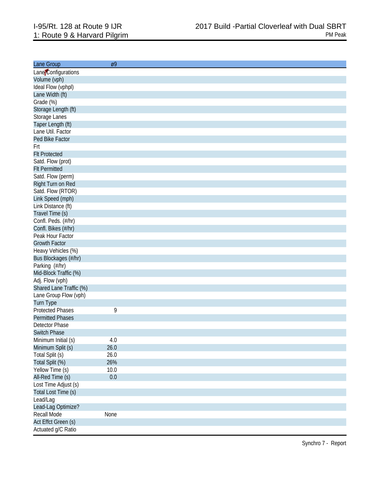| Lane Group                     |  |
|--------------------------------|--|
| Lane Configurations            |  |
| Volume (vph)                   |  |
| Ideal Flow (vphpl)             |  |
| Lane Width (ft)                |  |
| Grade (%)                      |  |
| Storage Length (ft)            |  |
| Storage Lanes                  |  |
| Taper Length (ft)              |  |
| Lane Util. Factor              |  |
| Ped Bike Factor                |  |
|                                |  |
| Frt                            |  |
| <b>FIt Protected</b>           |  |
| Satd. Flow (prot)              |  |
| <b>Flt Permitted</b>           |  |
| Satd. Flow (perm)              |  |
| Right Turn on Red              |  |
| Satd. Flow (RTOR)              |  |
| Link Speed (mph)               |  |
| Link Distance (ft)             |  |
| Travel Time (s)                |  |
| Confl. Peds. (#/hr)            |  |
| Confl. Bikes (#/hr)            |  |
| Peak Hour Factor               |  |
| <b>Growth Factor</b>           |  |
| Heavy Vehicles (%)             |  |
| Bus Blockages (#/hr)           |  |
| Parking (#/hr)                 |  |
| Mid-Block Traffic (%)          |  |
| Adj. Flow (vph)                |  |
| Shared Lane Traffic (%)        |  |
| Lane Group Flow (vph)          |  |
| Turn Type                      |  |
| 9<br><b>Protected Phases</b>   |  |
| <b>Permitted Phases</b>        |  |
| <b>Detector Phase</b>          |  |
| <b>Switch Phase</b>            |  |
| $4.0\,$<br>Minimum Initial (s) |  |
| Minimum Split (s)<br>26.0      |  |
| Total Split (s)<br>26.0        |  |
| Total Split (%)<br>26%         |  |
| Yellow Time (s)<br>10.0        |  |
| All-Red Time (s)<br>0.0        |  |
| Lost Time Adjust (s)           |  |
| Total Lost Time (s)            |  |
| Lead/Lag                       |  |
| Lead-Lag Optimize?             |  |
| Recall Mode<br>None            |  |
|                                |  |
| Act Effct Green (s)            |  |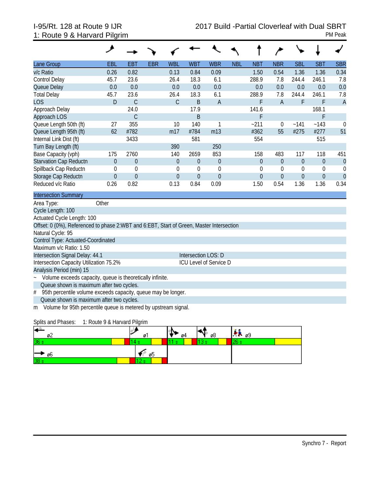# 1: Route 9 & Harvard Pilgrim PM Peak

|                                                                                          | و            |                  |            |                |                     |                        |            |                  |                  |                  |                |                |
|------------------------------------------------------------------------------------------|--------------|------------------|------------|----------------|---------------------|------------------------|------------|------------------|------------------|------------------|----------------|----------------|
| Lane Group                                                                               | EBL          | <b>EBT</b>       | <b>EBR</b> | <b>WBL</b>     | <b>WBT</b>          | <b>WBR</b>             | <b>NBL</b> | <b>NBT</b>       | <b>NBR</b>       | <b>SBL</b>       | <b>SBT</b>     | <b>SBR</b>     |
| v/c Ratio                                                                                | 0.26         | 0.82             |            | 0.13           | 0.84                | 0.09                   |            | 1.50             | 0.54             | 1.36             | 1.36           | 0.34           |
| <b>Control Delay</b>                                                                     | 45.7         | 23.6             |            | 26.4           | 18.3                | 6.1                    |            | 288.9            | 7.8              | 244.4            | 246.1          | 7.8            |
| Queue Delay                                                                              | 0.0          | 0.0              |            | 0.0            | 0.0                 | 0.0                    |            | 0.0              | 0.0              | 0.0              | 0.0            | 0.0            |
| <b>Total Delay</b>                                                                       | 45.7         | 23.6             |            | 26.4           | 18.3                | 6.1                    |            | 288.9            | 7.8              | 244.4            | 246.1          | 7.8            |
| <b>LOS</b>                                                                               | D            | $\mathsf{C}$     |            | $\mathcal{C}$  | B                   | $\overline{A}$         |            | F                | $\overline{A}$   | F                | F              | $\overline{A}$ |
| Approach Delay                                                                           |              | 24.0             |            |                | 17.9                |                        |            | 141.6            |                  |                  | 168.1          |                |
| Approach LOS                                                                             |              | $\mathcal{C}$    |            |                | B                   |                        |            | F                |                  |                  | F              |                |
| Queue Length 50th (ft)                                                                   | 27           | 355              |            | 10             | 140                 | 1                      |            | $-211$           | $\theta$         | ~141             | ~143           | $\mathbf 0$    |
| Queue Length 95th (ft)                                                                   | 62           | #782             |            | m17            | #784                | m13                    |            | #362             | 55               | #275             | #277           | 51             |
| Internal Link Dist (ft)                                                                  |              | 3433             |            |                | 581                 |                        |            | 554              |                  |                  | 515            |                |
| Turn Bay Length (ft)                                                                     |              |                  |            | 390            |                     | 250                    |            |                  |                  |                  |                |                |
| Base Capacity (vph)                                                                      | 175          | 2760             |            | 140            | 2659                | 853                    |            | 158              | 483              | 117              | 118            | 451            |
| <b>Starvation Cap Reductn</b>                                                            | $\theta$     | $\boldsymbol{0}$ |            | $\theta$       | $\overline{0}$      | $\mathbf 0$            |            | $\overline{0}$   | $\theta$         | $\boldsymbol{0}$ | $\mathbf{0}$   | $\mathbf{0}$   |
| Spillback Cap Reductn                                                                    | $\theta$     | $\mathbf 0$      |            | $\mathbf 0$    | $\theta$            | $\mathbf 0$            |            | $\boldsymbol{0}$ | $\boldsymbol{0}$ | $\mathbf 0$      | 0              | $\Omega$       |
| Storage Cap Reductn                                                                      | $\mathbf{0}$ | $\overline{0}$   |            | $\overline{0}$ | $\overline{0}$      | $\overline{0}$         |            | $\overline{0}$   | $\theta$         | $\overline{0}$   | $\overline{0}$ | $\overline{0}$ |
| Reduced v/c Ratio                                                                        | 0.26         | 0.82             |            | 0.13           | 0.84                | 0.09                   |            | 1.50             | 0.54             | 1.36             | 1.36           | 0.34           |
| <b>Intersection Summary</b>                                                              |              |                  |            |                |                     |                        |            |                  |                  |                  |                |                |
| Area Type:                                                                               | Other        |                  |            |                |                     |                        |            |                  |                  |                  |                |                |
| Cycle Length: 100                                                                        |              |                  |            |                |                     |                        |            |                  |                  |                  |                |                |
| Actuated Cycle Length: 100                                                               |              |                  |            |                |                     |                        |            |                  |                  |                  |                |                |
| Offset: 0 (0%), Referenced to phase 2:WBT and 6:EBT, Start of Green, Master Intersection |              |                  |            |                |                     |                        |            |                  |                  |                  |                |                |
| Natural Cycle: 95                                                                        |              |                  |            |                |                     |                        |            |                  |                  |                  |                |                |
| Control Type: Actuated-Coordinated                                                       |              |                  |            |                |                     |                        |            |                  |                  |                  |                |                |
| Maximum v/c Ratio: 1.50                                                                  |              |                  |            |                |                     |                        |            |                  |                  |                  |                |                |
| Intersection Signal Delay: 44.1                                                          |              |                  |            |                | Intersection LOS: D |                        |            |                  |                  |                  |                |                |
| Intersection Capacity Utilization 75.2%                                                  |              |                  |            |                |                     | ICU Level of Service D |            |                  |                  |                  |                |                |
| Analysis Period (min) 15                                                                 |              |                  |            |                |                     |                        |            |                  |                  |                  |                |                |
| Volume exceeds capacity, queue is theoretically infinite.                                |              |                  |            |                |                     |                        |            |                  |                  |                  |                |                |
| Queue shown is maximum after two cycles.                                                 |              |                  |            |                |                     |                        |            |                  |                  |                  |                |                |
| 95th percentile volume exceeds capacity, queue may be longer.<br>#                       |              |                  |            |                |                     |                        |            |                  |                  |                  |                |                |
| Queue shown is maximum after two cycles.                                                 |              |                  |            |                |                     |                        |            |                  |                  |                  |                |                |

m Volume for 95th percentile queue is metered by upstream signal.

### Splits and Phases: 1: Route 9 & Harvard Pilgrim

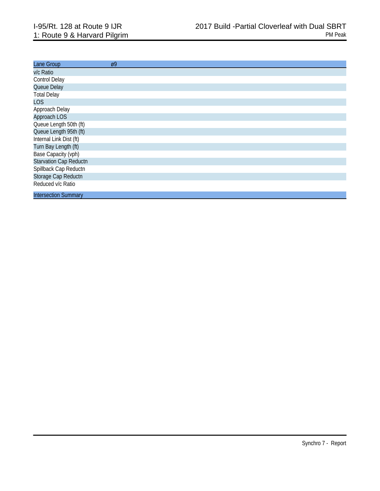| Lane Group                    | Ø9 |
|-------------------------------|----|
| v/c Ratio                     |    |
| Control Delay                 |    |
| Queue Delay                   |    |
| <b>Total Delay</b>            |    |
| <b>LOS</b>                    |    |
| Approach Delay                |    |
| Approach LOS                  |    |
| Queue Length 50th (ft)        |    |
| Queue Length 95th (ft)        |    |
| Internal Link Dist (ft)       |    |
| Turn Bay Length (ft)          |    |
| Base Capacity (vph)           |    |
| <b>Starvation Cap Reductn</b> |    |
| Spillback Cap Reductn         |    |
| Storage Cap Reductn           |    |
| Reduced v/c Ratio             |    |
| <b>Intersection Summary</b>   |    |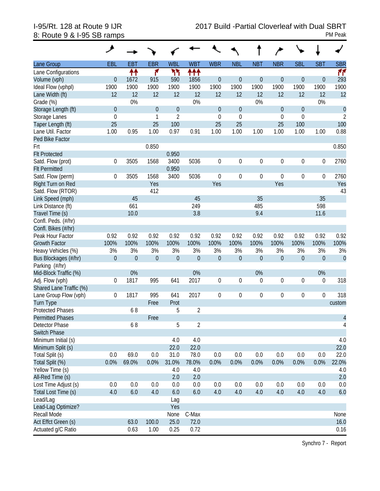# 8: Route 9 & I-95 SB ramps PM Peak

| Lane Group              | EBL              | <b>EBT</b>       | <b>EBR</b>     | <b>WBL</b>       | <b>WBT</b>       | <b>WBR</b>       | <b>NBL</b>       | <b>NBT</b>       | <b>NBR</b>       | <b>SBL</b>       | <b>SBT</b>       | <b>SBR</b>     |
|-------------------------|------------------|------------------|----------------|------------------|------------------|------------------|------------------|------------------|------------------|------------------|------------------|----------------|
| Lane Configurations     |                  | ↟↟               | ۴              | ካኘ               | ተተተ              |                  |                  |                  |                  |                  |                  | M              |
| Volume (vph)            | $\theta$         | 1672             | 915            | 590              | 1856             | $\mathbf{0}$     | $\boldsymbol{0}$ | $\mathbf 0$      | $\theta$         | $\overline{0}$   | $\mathbf 0$      | 293            |
| Ideal Flow (vphpl)      | 1900             | 1900             | 1900           | 1900             | 1900             | 1900             | 1900             | 1900             | 1900             | 1900             | 1900             | 1900           |
| Lane Width (ft)         | 12               | 12               | 12             | 12               | 12               | 12               | 12               | 12               | 12               | 12               | 12               | 12             |
| Grade (%)               |                  | 0%               |                |                  | 0%               |                  |                  | 0%               |                  |                  | 0%               |                |
| Storage Length (ft)     | $\theta$         |                  | $\Omega$       | $\theta$         |                  | $\mathbf{0}$     | $\mathbf 0$      |                  | $\theta$         | $\boldsymbol{0}$ |                  | $\theta$       |
| Storage Lanes           | $\mathbf{0}$     |                  | 1              | $\overline{2}$   |                  | $\mathbf 0$      | $\mathbf 0$      |                  | $\mathbf{0}$     | $\mathbf 0$      |                  | $\overline{2}$ |
| Taper Length (ft)       | 25               |                  | 25             | 100              |                  | 25               | 25               |                  | 25               | 100              |                  | 100            |
| Lane Util. Factor       | 1.00             | 0.95             | 1.00           | 0.97             | 0.91             | 1.00             | 1.00             | 1.00             | 1.00             | 1.00             | 1.00             | 0.88           |
| Ped Bike Factor         |                  |                  |                |                  |                  |                  |                  |                  |                  |                  |                  |                |
| Frt                     |                  |                  | 0.850          |                  |                  |                  |                  |                  |                  |                  |                  | 0.850          |
| <b>Flt Protected</b>    |                  |                  |                | 0.950            |                  |                  |                  |                  |                  |                  |                  |                |
| Satd. Flow (prot)       | $\mathbf 0$      | 3505             | 1568           | 3400             | 5036             | $\mathbf 0$      | $\boldsymbol{0}$ | $\boldsymbol{0}$ | $\mathbf 0$      | 0                | $\boldsymbol{0}$ | 2760           |
| <b>Flt Permitted</b>    |                  |                  |                | 0.950            |                  |                  |                  |                  |                  |                  |                  |                |
| Satd. Flow (perm)       | 0                | 3505             | 1568           | 3400             | 5036             | $\mathbf 0$      | $\boldsymbol{0}$ | $\boldsymbol{0}$ | $\mathbf 0$      | 0                | 0                | 2760           |
| Right Turn on Red       |                  |                  | Yes            |                  |                  | Yes              |                  |                  | Yes              |                  |                  | Yes            |
| Satd. Flow (RTOR)       |                  |                  | 412            |                  |                  |                  |                  |                  |                  |                  |                  | 43             |
| Link Speed (mph)        |                  | 45               |                |                  | 45               |                  |                  | 35               |                  |                  | 35               |                |
| Link Distance (ft)      |                  | 661              |                |                  | 249              |                  |                  | 485              |                  |                  | 598              |                |
| Travel Time (s)         |                  | 10.0             |                |                  | 3.8              |                  |                  | 9.4              |                  |                  | 11.6             |                |
| Confl. Peds. (#/hr)     |                  |                  |                |                  |                  |                  |                  |                  |                  |                  |                  |                |
| Confl. Bikes (#/hr)     |                  |                  |                |                  |                  |                  |                  |                  |                  |                  |                  |                |
| Peak Hour Factor        | 0.92             | 0.92             | 0.92           | 0.92             | 0.92             | 0.92             | 0.92             | 0.92             | 0.92             | 0.92             | 0.92             | 0.92           |
| <b>Growth Factor</b>    | 100%             | 100%             | 100%           | 100%             | 100%             | 100%             | 100%             | 100%             | 100%             | 100%             | 100%             | 100%           |
| Heavy Vehicles (%)      | 3%               | 3%               | 3%             | 3%               | 3%               | 3%               | 3%               | 3%               | 3%               | 3%               | 3%               | 3%             |
| Bus Blockages (#/hr)    | $\boldsymbol{0}$ | $\boldsymbol{0}$ | $\overline{0}$ | $\boldsymbol{0}$ | $\boldsymbol{0}$ | $\mathbf{0}$     | $\boldsymbol{0}$ | $\boldsymbol{0}$ | $\boldsymbol{0}$ | $\mathbf 0$      | $\mathbf 0$      | $\theta$       |
| Parking (#/hr)          |                  |                  |                |                  |                  |                  |                  |                  |                  |                  |                  |                |
| Mid-Block Traffic (%)   |                  | 0%               |                |                  | 0%               |                  |                  | 0%               |                  |                  | 0%               |                |
| Adj. Flow (vph)         | $\mathbf 0$      | 1817             | 995            | 641              | 2017             | $\mathbf 0$      | $\boldsymbol{0}$ | $\boldsymbol{0}$ | $\mathbf 0$      | $\boldsymbol{0}$ | 0                | 318            |
| Shared Lane Traffic (%) |                  |                  |                |                  |                  |                  |                  |                  |                  |                  |                  |                |
| Lane Group Flow (vph)   | 0                | 1817             | 995            | 641              | 2017             | $\boldsymbol{0}$ | $\boldsymbol{0}$ | $\boldsymbol{0}$ | $\mathbf 0$      | 0                | $\boldsymbol{0}$ | 318            |
| <b>Turn Type</b>        |                  |                  | Free           | Prot             |                  |                  |                  |                  |                  |                  |                  | custom         |
| <b>Protected Phases</b> |                  | 68               |                | 5                | $\overline{2}$   |                  |                  |                  |                  |                  |                  |                |
| <b>Permitted Phases</b> |                  |                  | Free           |                  |                  |                  |                  |                  |                  |                  |                  | $\overline{4}$ |
| Detector Phase          |                  | 68               |                | 5                | $\overline{2}$   |                  |                  |                  |                  |                  |                  | 4              |
| <b>Switch Phase</b>     |                  |                  |                |                  |                  |                  |                  |                  |                  |                  |                  |                |
| Minimum Initial (s)     |                  |                  |                | 4.0              | 4.0              |                  |                  |                  |                  |                  |                  | 4.0            |
| Minimum Split (s)       |                  |                  |                | 22.0             | 22.0             |                  |                  |                  |                  |                  |                  | 22.0           |
| Total Split (s)         | 0.0              | 69.0             | $0.0\,$        | 31.0             | 78.0             | 0.0              | 0.0              | 0.0              | $0.0\,$          | 0.0              | 0.0              | 22.0           |
| Total Split (%)         | 0.0%             | 69.0%            | 0.0%           | 31.0%            | 78.0%            | 0.0%             | 0.0%             | 0.0%             | 0.0%             | 0.0%             | 0.0%             | 22.0%          |
| Yellow Time (s)         |                  |                  |                | 4.0              | 4.0              |                  |                  |                  |                  |                  |                  | 4.0            |
| All-Red Time (s)        |                  |                  |                | 2.0              | 2.0              |                  |                  |                  |                  |                  |                  | 2.0            |
| Lost Time Adjust (s)    | 0.0              | 0.0              | 0.0            | 0.0              | 0.0              | 0.0              | 0.0              | 0.0              | $0.0\,$          | 0.0              | 0.0              | 0.0            |
| Total Lost Time (s)     | 4.0              | $6.0\,$          | 4.0            | 6.0              | 6.0              | 4.0              | 4.0              | 4.0              | 4.0              | 4.0              | 4.0              | 6.0            |
| Lead/Lag                |                  |                  |                | Lag              |                  |                  |                  |                  |                  |                  |                  |                |
| Lead-Lag Optimize?      |                  |                  |                | Yes              |                  |                  |                  |                  |                  |                  |                  |                |
| Recall Mode             |                  |                  |                | None             | C-Max            |                  |                  |                  |                  |                  |                  | None           |
| Act Effct Green (s)     |                  | 63.0             | 100.0          | 25.0             | 72.0             |                  |                  |                  |                  |                  |                  | 16.0           |
| Actuated g/C Ratio      |                  | 0.63             | 1.00           | 0.25             | 0.72             |                  |                  |                  |                  |                  |                  | 0.16           |
|                         |                  |                  |                |                  |                  |                  |                  |                  |                  |                  |                  |                |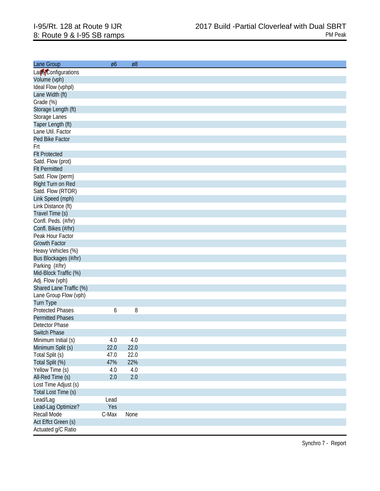| Lane Group              | Ø6    | Ø8      |
|-------------------------|-------|---------|
|                         |       |         |
| Lare Configurations     |       |         |
| Volume (vph)            |       |         |
| Ideal Flow (vphpl)      |       |         |
| Lane Width (ft)         |       |         |
| Grade (%)               |       |         |
| Storage Length (ft)     |       |         |
| Storage Lanes           |       |         |
| Taper Length (ft)       |       |         |
| Lane Util. Factor       |       |         |
| Ped Bike Factor         |       |         |
| Frt                     |       |         |
| <b>FIt Protected</b>    |       |         |
| Satd. Flow (prot)       |       |         |
| <b>Flt Permitted</b>    |       |         |
| Satd. Flow (perm)       |       |         |
| Right Turn on Red       |       |         |
| Satd. Flow (RTOR)       |       |         |
| Link Speed (mph)        |       |         |
| Link Distance (ft)      |       |         |
| Travel Time (s)         |       |         |
| Confl. Peds. (#/hr)     |       |         |
| Confl. Bikes (#/hr)     |       |         |
|                         |       |         |
| Peak Hour Factor        |       |         |
| <b>Growth Factor</b>    |       |         |
| Heavy Vehicles (%)      |       |         |
| Bus Blockages (#/hr)    |       |         |
| Parking (#/hr)          |       |         |
| Mid-Block Traffic (%)   |       |         |
| Adj. Flow (vph)         |       |         |
| Shared Lane Traffic (%) |       |         |
| Lane Group Flow (vph)   |       |         |
| Turn Type               |       |         |
| <b>Protected Phases</b> | 6     | 8       |
| <b>Permitted Phases</b> |       |         |
| <b>Detector Phase</b>   |       |         |
| <b>Switch Phase</b>     |       |         |
| Minimum Initial (s)     | 4.0   | 4.0     |
| Minimum Split (s)       | 22.0  | 22.0    |
| Total Split (s)         | 47.0  | 22.0    |
| Total Split (%)         | 47%   | 22%     |
| Yellow Time (s)         | 4.0   | 4.0     |
| All-Red Time (s)        | 2.0   | $2.0\,$ |
| Lost Time Adjust (s)    |       |         |
|                         |       |         |
| Total Lost Time (s)     |       |         |
| Lead/Lag                | Lead  |         |
| Lead-Lag Optimize?      | Yes   |         |
| Recall Mode             | C-Max | None    |
| Act Effct Green (s)     |       |         |
| Actuated g/C Ratio      |       |         |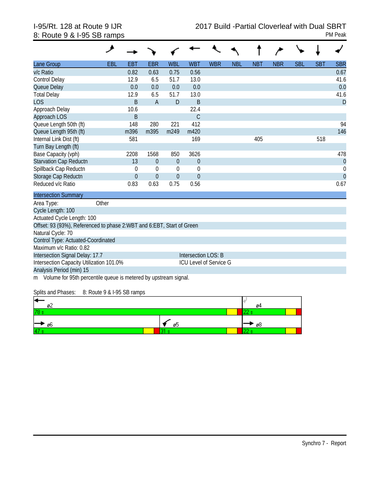| Lane Group                                                            | <b>EBL</b> | <b>EBT</b>  | <b>EBR</b>     | <b>WBL</b>   | <b>WBT</b>                    | <b>WBR</b> | <b>NBL</b> | <b>NBT</b> | <b>NBR</b> | <b>SBL</b> | <b>SBT</b> | <b>SBR</b>     |
|-----------------------------------------------------------------------|------------|-------------|----------------|--------------|-------------------------------|------------|------------|------------|------------|------------|------------|----------------|
| v/c Ratio                                                             |            | 0.82        | 0.63           | 0.75         | 0.56                          |            |            |            |            |            |            | 0.67           |
| <b>Control Delay</b>                                                  |            | 12.9        | 6.5            | 51.7         | 13.0                          |            |            |            |            |            |            | 41.6           |
| Queue Delay                                                           |            | 0.0         | 0.0            | 0.0          | 0.0                           |            |            |            |            |            |            | 0.0            |
| <b>Total Delay</b>                                                    |            | 12.9        | 6.5            | 51.7         | 13.0                          |            |            |            |            |            |            | 41.6           |
| <b>LOS</b>                                                            |            | B           | $\overline{A}$ | D            | B                             |            |            |            |            |            |            | D              |
| Approach Delay                                                        |            | 10.6        |                |              | 22.4                          |            |            |            |            |            |            |                |
| Approach LOS                                                          |            | B           |                |              | $\mathsf{C}$                  |            |            |            |            |            |            |                |
| Queue Length 50th (ft)                                                |            | 148         | 280            | 221          | 412                           |            |            |            |            |            |            | 94             |
| Queue Length 95th (ft)                                                |            | m396        | m395           | m249         | m420                          |            |            |            |            |            |            | 146            |
| Internal Link Dist (ft)                                               |            | 581         |                |              | 169                           |            |            | 405        |            |            | 518        |                |
| Turn Bay Length (ft)                                                  |            |             |                |              |                               |            |            |            |            |            |            |                |
| Base Capacity (vph)                                                   |            | 2208        | 1568           | 850          | 3626                          |            |            |            |            |            |            | 478            |
| Starvation Cap Reductn                                                |            | 13          | $\theta$       | $\theta$     | $\theta$                      |            |            |            |            |            |            | $\mathbf{0}$   |
| Spillback Cap Reductn                                                 |            | $\mathbf 0$ | $\mathbf 0$    | $\theta$     | $\mathbf 0$                   |            |            |            |            |            |            | $\mathbf 0$    |
| Storage Cap Reductn                                                   |            | $\theta$    | $\Omega$       | $\mathbf{0}$ | $\Omega$                      |            |            |            |            |            |            | $\overline{0}$ |
| Reduced v/c Ratio                                                     |            | 0.83        | 0.63           | 0.75         | 0.56                          |            |            |            |            |            |            | 0.67           |
| <b>Intersection Summary</b>                                           |            |             |                |              |                               |            |            |            |            |            |            |                |
| Area Type:                                                            | Other      |             |                |              |                               |            |            |            |            |            |            |                |
| Cycle Length: 100                                                     |            |             |                |              |                               |            |            |            |            |            |            |                |
| Actuated Cycle Length: 100                                            |            |             |                |              |                               |            |            |            |            |            |            |                |
| Offset: 93 (93%), Referenced to phase 2:WBT and 6:EBT, Start of Green |            |             |                |              |                               |            |            |            |            |            |            |                |
| Natural Cycle: 70                                                     |            |             |                |              |                               |            |            |            |            |            |            |                |
| Control Type: Actuated-Coordinated                                    |            |             |                |              |                               |            |            |            |            |            |            |                |
| Maximum v/c Ratio: 0.82                                               |            |             |                |              |                               |            |            |            |            |            |            |                |
| Intersection Signal Delay: 17.7                                       |            |             |                |              | Intersection LOS: B           |            |            |            |            |            |            |                |
| Intersection Capacity Utilization 101.0%                              |            |             |                |              | <b>ICU Level of Service G</b> |            |            |            |            |            |            |                |
| Analysis Period (min) 15                                              |            |             |                |              |                               |            |            |            |            |            |            |                |

m Volume for 95th percentile queue is metered by upstream signal.

Splits and Phases: 8: Route 9 & I-95 SB ramps

| ⇤<br>øZ |    | -04  |  |
|---------|----|------|--|
| 78      |    |      |  |
| ⊢→ ‰    | Øb | ° ø8 |  |
| 47      |    |      |  |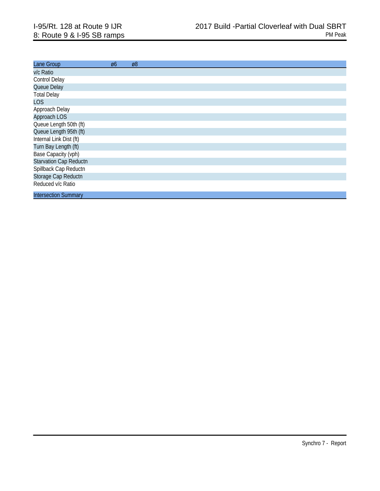| Lane Group                    | Ø6 | Ø8 |
|-------------------------------|----|----|
| v/c Ratio                     |    |    |
| <b>Control Delay</b>          |    |    |
| Queue Delay                   |    |    |
| <b>Total Delay</b>            |    |    |
| <b>LOS</b>                    |    |    |
| Approach Delay                |    |    |
| Approach LOS                  |    |    |
| Queue Length 50th (ft)        |    |    |
| Queue Length 95th (ft)        |    |    |
| Internal Link Dist (ft)       |    |    |
| Turn Bay Length (ft)          |    |    |
| Base Capacity (vph)           |    |    |
| <b>Starvation Cap Reductn</b> |    |    |
| Spillback Cap Reductn         |    |    |
| Storage Cap Reductn           |    |    |
| Reduced v/c Ratio             |    |    |
|                               |    |    |
| <b>Intersection Summary</b>   |    |    |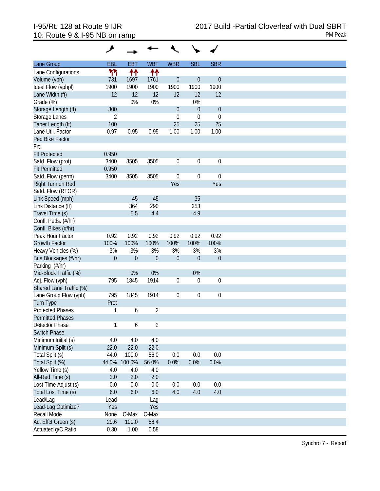| Lane Group              | EBL      | <b>EBT</b>  | <b>WBT</b>     | <b>WBR</b>       | <b>SBL</b>       | <b>SBR</b>       |
|-------------------------|----------|-------------|----------------|------------------|------------------|------------------|
| Lane Configurations     | ካነ       | ↟↟          | ተተ             |                  |                  |                  |
| Volume (vph)            | 731      | 1697        | 1761           | $\mathbf 0$      | $\theta$         | $\theta$         |
| Ideal Flow (vphpl)      | 1900     | 1900        | 1900           | 1900             | 1900             | 1900             |
|                         |          |             |                |                  |                  |                  |
| Lane Width (ft)         | 12       | 12          | 12             | 12               | 12               | 12               |
| Grade (%)               |          | $0\%$       | 0%             |                  | 0%               |                  |
| Storage Length (ft)     | 300      |             |                | $\mathbf 0$      | $\theta$         | $\theta$         |
| Storage Lanes           | 2        |             |                | $\mathbf 0$      | $\boldsymbol{0}$ | $\boldsymbol{0}$ |
| Taper Length (ft)       | 100      |             |                | 25               | 25               | 25               |
| Lane Util. Factor       | 0.97     | 0.95        | 0.95           | 1.00             | 1.00             | 1.00             |
| Ped Bike Factor         |          |             |                |                  |                  |                  |
| Frt                     |          |             |                |                  |                  |                  |
| <b>Flt Protected</b>    | 0.950    |             |                |                  |                  |                  |
| Satd. Flow (prot)       | 3400     | 3505        | 3505           | $\mathbf 0$      | $\boldsymbol{0}$ | $\mathbf 0$      |
| <b>Flt Permitted</b>    | 0.950    |             |                |                  |                  |                  |
| Satd. Flow (perm)       | 3400     | 3505        | 3505           | $\mathbf 0$      | $\boldsymbol{0}$ | $\mathbf 0$      |
| Right Turn on Red       |          |             |                | Yes              |                  | Yes              |
| Satd. Flow (RTOR)       |          |             |                |                  |                  |                  |
| Link Speed (mph)        |          | 45          | 45             |                  | 35               |                  |
| Link Distance (ft)      |          | 364         | 290            |                  | 253              |                  |
| Travel Time (s)         |          | 5.5         | 4.4            |                  | 4.9              |                  |
|                         |          |             |                |                  |                  |                  |
| Confl. Peds. (#/hr)     |          |             |                |                  |                  |                  |
| Confl. Bikes (#/hr)     |          |             |                |                  |                  |                  |
| Peak Hour Factor        | 0.92     | 0.92        | 0.92           | 0.92             | 0.92             | 0.92             |
| <b>Growth Factor</b>    | 100%     | 100%        | 100%           | 100%             | 100%             | 100%             |
| Heavy Vehicles (%)      | 3%       | 3%          | 3%             | 3%               | 3%               | 3%               |
| Bus Blockages (#/hr)    | $\theta$ | $\mathbf 0$ | $\overline{0}$ | $\mathbf 0$      | $\overline{0}$   | $\theta$         |
| Parking (#/hr)          |          |             |                |                  |                  |                  |
| Mid-Block Traffic (%)   |          | 0%          | 0%             |                  | 0%               |                  |
| Adj. Flow (vph)         | 795      | 1845        | 1914           | $\mathbf 0$      | 0                | $\boldsymbol{0}$ |
| Shared Lane Traffic (%) |          |             |                |                  |                  |                  |
| Lane Group Flow (vph)   | 795      | 1845        | 1914           | $\boldsymbol{0}$ | 0                | $\boldsymbol{0}$ |
| <b>Turn Type</b>        | Prot     |             |                |                  |                  |                  |
| <b>Protected Phases</b> | 1        | 6           | $\overline{2}$ |                  |                  |                  |
| <b>Permitted Phases</b> |          |             |                |                  |                  |                  |
| Detector Phase          | 1        | 6           | $\overline{2}$ |                  |                  |                  |
| <b>Switch Phase</b>     |          |             |                |                  |                  |                  |
| Minimum Initial (s)     | 4.0      | 4.0         | 4.0            |                  |                  |                  |
|                         |          |             |                |                  |                  |                  |
| Minimum Split (s)       | 22.0     | 22.0        | 22.0           |                  |                  |                  |
| Total Split (s)         | 44.0     | 100.0       | 56.0           | 0.0              | 0.0              | 0.0              |
| Total Split (%)         | 44.0%    | 100.0%      | 56.0%          | 0.0%             | 0.0%             | 0.0%             |
| Yellow Time (s)         | 4.0      | 4.0         | 4.0            |                  |                  |                  |
| All-Red Time (s)        | 2.0      | 2.0         | 2.0            |                  |                  |                  |
| Lost Time Adjust (s)    | 0.0      | 0.0         | 0.0            | 0.0              | 0.0              | 0.0              |
| Total Lost Time (s)     | 6.0      | 6.0         | 6.0            | 4.0              | 4.0              | 4.0              |
| Lead/Lag                | Lead     |             | Lag            |                  |                  |                  |
| Lead-Lag Optimize?      | Yes      |             | Yes            |                  |                  |                  |
| Recall Mode             | None     | C-Max       | C-Max          |                  |                  |                  |
| Act Effct Green (s)     | 29.6     | 100.0       | 58.4           |                  |                  |                  |
| Actuated g/C Ratio      | 0.30     | 1.00        | 0.58           |                  |                  |                  |
|                         |          |             |                |                  |                  |                  |